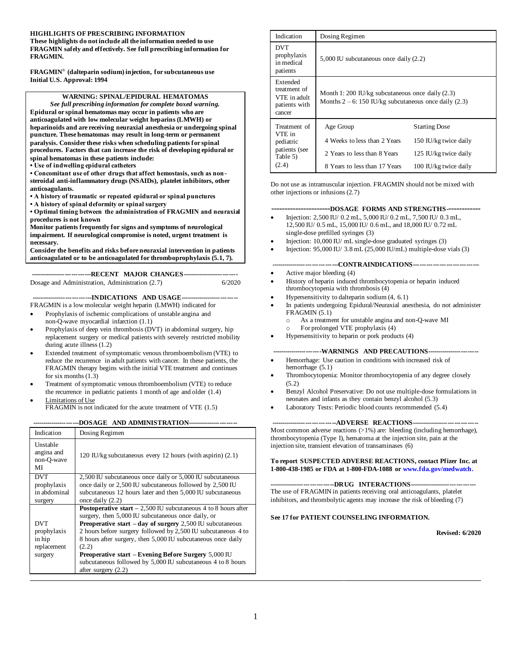#### **HIGHLIGHTS OF PRESCRIBING INFORMATION**

**These highlights do not include all the information needed to use FRAGMIN safely and effectively. See full prescribing information for FRAGMIN.**

**FRAGMIN**® **(dalteparin sodium) injection, for subcutaneous use Initial U.S. Approval: 1994**

**WARNING: SPINAL/EPIDURAL HEMATOMAS** *See full prescribing information for complete boxed warning.* **Epidural or spinal hematomas may occur in patients who are anticoagulated with low molecular weight heparins (LMWH) or heparinoids and are receiving neuraxial anesthesia or undergoing spinal puncture. These hematomas may result in long-term or permanent paralysis. Consider these risks when scheduling patients for spinal procedures. Factors that can increase the risk of developing epidural or spinal hematomas in these patients include: • Use of indwelling epidural catheters • Concomitant use of other drugs that affect hemostasis, such as nonsteroidal anti-inflammatory drugs (NSAIDs), platelet inhibitors, other anticoagulants. • A history of traumatic or repeated epidural or spinal punctures • A history of spinal deformity or spinal surgery • Optimal timing between the administration of FRAGMIN and neuraxial procedures is not known Monitor patients frequently for signs and symptoms of neurological impairment. If neurological compromise is noted, urgent treatment is necessary. Consider the benefits and risks before neuraxial intervention in patients anticoagulated or to be anticoagulated for thromboprophylaxis (5.1, 7). ----------------------------RECENT MAJOR CHANGES--------------------------** Dosage and Administration, Administration (2.7) 6/2020 **----------------------------INDICATIONS AND USAGE---------------------------** FRAGMIN is a low molecular weight heparin (LMWH) indicated for • Prophylaxis of ischemic complications of unstable angina and

- non-Q-wave myocardial infarction (1.1) • Prophylaxis of deep vein thrombosis (DVT) in abdominal surgery, hip replacement surgery or medical patients with severely restricted mobility
- during acute illness (1.2) • Extended treatment of symptomatic venous thromboembolism (VTE) to reduce the recurrence in adult patients with cancer. In these patients, the FRAGMIN therapy begins with the initial VTE treatment and continues for six months (1.3)
- Treatment of symptomatic venous thromboembolism (VTE) to reduce the recurrence in pediatric patients 1 month of age and older (1.4) Limitations of Use
- FRAGMIN is not indicated for the acute treatment of VTE (1.5)

**----------------------DOSAGE AND ADMINISTRATION-----------------------**

| Dosing Regimen                                                                                                                                                                                                                                                                                                                                                                                                                                                                                       | $Most$ common adverse reactions $(>1%)$ are: bleeding (including nemormage),<br>thrombocytopenia (Type I), hematoma at the injection site, pain at the                                                                                  |
|------------------------------------------------------------------------------------------------------------------------------------------------------------------------------------------------------------------------------------------------------------------------------------------------------------------------------------------------------------------------------------------------------------------------------------------------------------------------------------------------------|-----------------------------------------------------------------------------------------------------------------------------------------------------------------------------------------------------------------------------------------|
| 120 IU/kg subcutaneous every 12 hours (with aspirin) (2.1)                                                                                                                                                                                                                                                                                                                                                                                                                                           | injection site, transient elevation of transaminases (6)<br>To report SUSPECTED ADVERSE REACTIONS, contact Pfizer Inc. at<br>1-800-438-1985 or FDA at 1-800-FDA-1088 or www.fda.gov/medwatch.                                           |
| 2,500 IU subcutaneous once daily or 5,000 IU subcutaneous<br>once daily or 2,500 IU subcutaneous followed by 2,500 IU<br>subcutaneous 12 hours later and then 5,000 IU subcutaneous<br>once daily $(2.2)$                                                                                                                                                                                                                                                                                            | ----------------------------DRUG INTERACTIONS------------------- --- --- --- ---<br>The use of FRAGMIN in patients receiving oral anticoagulants, platelet<br>inhibitors, and thrombolytic agents may increase the risk of bleeding (7) |
| <b>Postoperative start</b> $- 2,500$ IU subcutaneous 4 to 8 hours after<br>surgery, then 5,000 IU subcutaneous once daily, or<br><b>Preoperative start – day of surgery</b> $2,500$ IU subcutaneous<br>2 hours before surgery followed by 2,500 IU subcutaneous 4 to<br>8 hours after surgery, then 5,000 IU subcutaneous once daily<br>(2.2)<br><b>Preoperative start – Evening Before Surgery 5,000 IU</b><br>subcutaneous followed by 5,000 IU subcutaneous 4 to 8 hours<br>after surgery $(2.2)$ | See 17 for PATIENT COUNSELING INFORMATION.<br><b>Revised: 6/2020</b>                                                                                                                                                                    |
|                                                                                                                                                                                                                                                                                                                                                                                                                                                                                                      |                                                                                                                                                                                                                                         |

| Indication                                                          | Dosing Regimen                                                                                                 |                       |  |
|---------------------------------------------------------------------|----------------------------------------------------------------------------------------------------------------|-----------------------|--|
| <b>DVT</b><br>prophylaxis<br>in medical<br>patients                 | $5,000$ IU subcutaneous once daily $(2.2)$                                                                     |                       |  |
| Extended<br>treatment of<br>VTE in adult<br>patients with<br>cancer | Month 1: 200 IU/kg subcutaneous once daily $(2.3)$<br>Months $2 - 6$ : 150 IU/kg subcutaneous once daily (2.3) |                       |  |
| Treatment of                                                        | Age Group                                                                                                      | <b>Starting Dose</b>  |  |
| VTE in<br>pediatric                                                 | 4 Weeks to less than 2 Years                                                                                   | 150 IU/kg twice daily |  |
| patients (see<br>Table 5)                                           | 2 Years to less than 8 Years                                                                                   | 125 IU/kg twice daily |  |
| (2.4)                                                               | 8 Years to less than 17 Years                                                                                  | 100 IU/kg twice daily |  |

Do not use as intramuscular injection. FRAGMIN should not be mixed with other injections or infusions (2.7)

#### **----------------------DOSAGE FORMS AND STRENGTHS-------------**

- Injection: 2,500 IU/ 0.2 mL, 5,000 IU/ 0.2 mL, 7,500 IU/ 0.3 mL, 12,500 IU/ 0.5 mL, 15,000 IU/ 0.6 mL, and 18,000 IU/ 0.72 mL single-dose prefilled syringes (3)
- Injection: 10,000 IU/ mL single-dose graduated syringes (3)
- Injection:  $95,000$  IU/  $3.8$  mL (25,000 IU/mL) multiple-dose vials (3)

#### **-------------------------------CONTRAINDICATIONS------------------------------**

- Active major bleeding (4)
- History of heparin induced thrombocytopenia or heparin induced thrombocytopenia with thrombosis (4)
- Hypersensitivity to dalteparin sodium (4, 6.1)
- In patients undergoing Epidural/Neuraxial anesthesia, do not administer FRAGMIN (5.1)
	- o As a treatment for unstable angina and non-Q-wave MI
	- For prolonged VTE prophylaxis (4)
- Hypersensitivity to heparin or pork products (4)

#### **-----------------------WARNINGS AND PRECAUTIONS------------------------**

- Hemorrhage: Use caution in conditions with increased risk of hemorrhage (5.1)
- Thrombocytopenia: Monitor thrombocytopenia of any degree closely (5.2)
- Benzyl Alcohol Preservative: Do not use multiple-dose formulations in neonates and infants as they contain benzyl alcohol (5.3)
- Laboratory Tests: Periodic blood counts recommended (5.4)

**------------------------------ADVERSE REACTIONS-------------------------------** Most common adverse reactions  $(>1%)$  are: bleeding (including hemorrhage), thrombocytopenia (Type I), hematoma at the injection site, pain at the injection site, transient elevation of transaminases (6)

#### **------------------------------DRUG INTERACTIONS-------------------------------**

#### **See 17 for PATIENT COUNSELING INFORMATION.**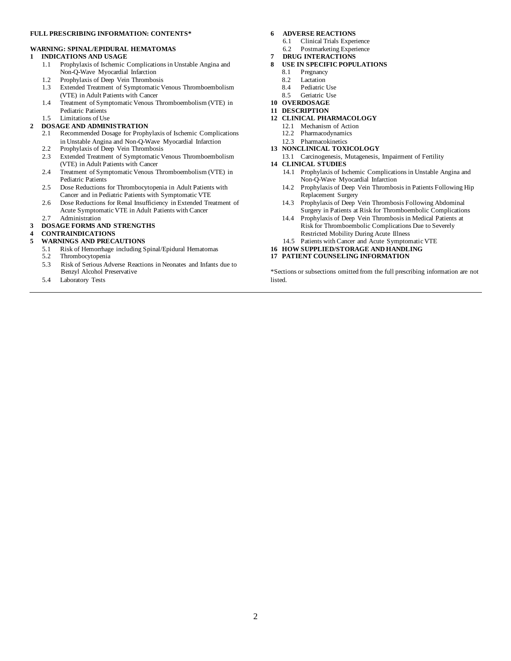#### **FULL PRESCRIBING INFORMATION: CONTENTS\***

#### **WARNING: SPINAL/EPIDURAL HEMATOMAS**

#### **1 INDICATIONS AND USAGE**

- 1.1 Prophylaxis of Ischemic Complications in Unstable Angina and Non-Q-Wave Myocardial Infarction
- 1.2 Prophylaxis of Deep Vein Thrombosis
- 1.3 Extended Treatment of Symptomatic Venous Thromboembolism (VTE) in Adult Patients with Cancer
- 1.4 Treatment of Symptomatic Venous Thromboembolism (VTE) in Pediatric Patients
- 1.5 Limitations of Use

#### **2 DOSAGE AND ADMINISTRATION**

- 2.1 Recommended Dosage for Prophylaxis of Ischemic Complications in Unstable Angina and Non-Q-Wave Myocardial Infarction
- 2.2 Prophylaxis of Deep Vein Thrombosis 2.3 Extended Treatment of Symptomatic Venous Thromboembolism
- (VTE) in Adult Patients with Cancer
- 2.4 Treatment of Symptomatic Venous Thromboembolism (VTE) in Pediatric Patients
- 2.5 Dose Reductions for Thrombocytopenia in Adult Patients with Cancer and in Pediatric Patients with Symptomatic VTE
- 2.6 Dose Reductions for Renal Insufficiency in Extended Treatment of Acute Symptomatic VTE in Adult Patients with Cancer

#### 2.7 Administration **3 DOSAGE FORMS AND STRENGTHS**

# **4 CONTRAINDICATIONS**

- **5 WARNINGS AND PRECAUTIONS**
	- 5.1 Risk of Hemorrhage including Spinal/Epidural Hematomas
	- 5.2 Thrombocytopenia
	- 5.3 Risk of Serious Adverse Reactions in Neonates and Infants due to Benzyl Alcohol Preservative
	- 5.4 Laboratory Tests

#### **6 ADVERSE REACTIONS**

- 6.1 Clinical Trials Experience
- 6.2 Postmarketing Experience
- **7 DRUG INTERACTIONS**
- **8 USE IN SPECIFIC POPULATIONS**
	- 8.1 Pregnancy
	- 8.2 Lactation
	- 8.4 Pediatric Use<br>8.5 Geriatric Use
	- Geriatric Use
- **10 OVERDOSAGE**
- **11 DESCRIPTION**
- **12 CLINICAL PHARMACOLOGY**
	- 12.1 Mechanism of Action
	- 12.2 Pharmacodynamics 12.3 Pharmacokinetics
- **13 NONCLINICAL TOXICOLOGY**
- 13.1 Carcinogenesis, Mutagenesis, Impairment of Fertility **14 CLINICAL STUDIES**
	- 14.1 Prophylaxis of Ischemic Complications in Unstable Angina and Non-Q-Wave Myocardial Infarction
	- 14.2 Prophylaxis of Deep Vein Thrombosis in Patients Following Hip Replacement Surgery
	- 14.3 Prophylaxis of Deep Vein Thrombosis Following Abdominal Surgery in Patients at Risk for Thromboembolic Complications
	- 14.4 Prophylaxis of Deep Vein Thrombosis in Medical Patients at Risk for Thromboembolic Complications Due to Severely
	- Restricted Mobility During Acute Illness
	- 14.5 Patients with Cancer and Acute Symptomatic VTE
- **16 HOW SUPPLIED/STORAGE AND HANDLING**
- **17 PATIENT COUNSELING INFORMATION**

\*Sections or subsections omitted from the full prescribing information are not listed.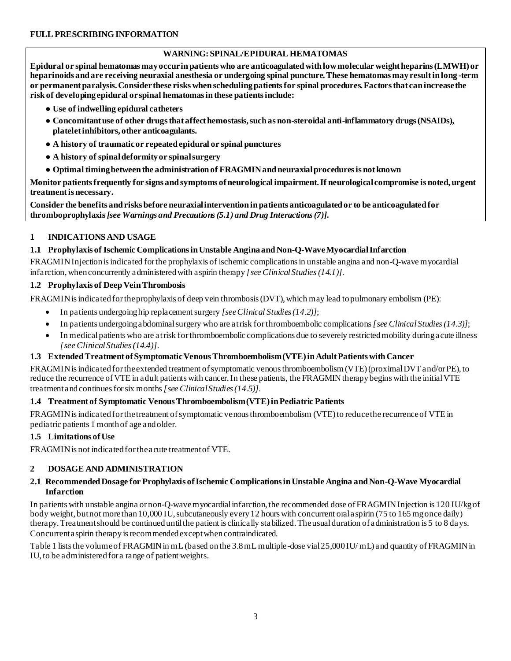# **WARNING: SPINAL/EPIDURAL HEMATOMAS**

**Epidural or spinal hematomas may occur in patients who are anticoagulated with low molecular weight heparins (LMWH) or heparinoids and are receiving neuraxial anesthesia or undergoing spinal puncture. These hematomas may result in long -term or permanent paralysis. Consider these risks when scheduling patients for spinal procedures. Factors that can increase the risk of developing epidural or spinal hematomas in these patients include:** 

- **● Use of indwelling epidural catheters**
- **● Concomitant use of other drugs that affect hemostasis, such as non-steroidal anti-inflammatory drugs (NSAIDs), platelet inhibitors, other anticoagulants.**
- **● A history of traumatic or repeated epidural or spinal punctures**
- **● A history of spinal deformity or spinal surgery**
- **● Optimal timing between the administration of FRAGMIN and neuraxial procedures is not known**

**Monitor patients frequently for signs and symptoms of neurological impairment. If neurological compromise is noted, urgent treatment is necessary.**

**Consider the benefits and risks before neuraxial intervention in patients anticoagulated or to be anticoagulated for thromboprophylaxis** *[see Warnings and Precautions(5.1) and Drug Interactions (7)]***.**

## **1 INDICATIONS AND USAGE**

## **1.1 Prophylaxis of Ischemic Complications in Unstable Angina and Non-Q-Wave Myocardial Infarction**

FRAGMIN Injection is indicated for the prophylaxis of ischemic complications in unstable angina and non-Q-wave myocardial infarction, when concurrently administered with aspirin therapy *[see Clinical Studies(14.1)]*.

## **1.2 Prophylaxis of Deep Vein Thrombosis**

FRAGMIN is indicated for the prophylaxis of deep vein thrombosis (DVT), which may lead to pulmonary embolism (PE):

- In patients undergoing hip replacement surgery *[see Clinical Studies (14.2)]*;
- In patients undergoing abdominal surgery who are at risk for thromboembolic complications *[see Clinical Studies (14.3)]*;
- In medical patients who are at risk for thromboembolic complications due to severely restricted mobility during acute illness *[see Clinical Studies (14.4)]*.

# **1.3 Extended Treatment of Symptomatic Venous Thromboembolism (VTE) in Adult Patients with Cancer**

FRAGMIN is indicated for the extended treatment of symptomatic venous thromboembolism (VTE) (proximal DVT and/or PE), to reduce the recurrence of VTE in adult patients with cancer. In these patients, the FRAGMIN therapy begins with the initial VTE treatment and continues for six months *[see Clinical Studies (14.5)]*.

# **1.4 Treatment of Symptomatic Venous Thromboembolism (VTE) in Pediatric Patients**

FRAGMIN is indicated for the treatment of symptomatic venous thromboembolism (VTE) to reduce the recurrence of VTE in pediatric patients 1 month of age and older.

#### **1.5 Limitations of Use**

FRAGMIN is not indicated for the acute treatment of VTE.

# **2 DOSAGE AND ADMINISTRATION**

#### **2.1 Recommended Dosage for Prophylaxis of Ischemic Complications in Unstable Angina and Non-Q-Wave Myocardial Infarction**

In patients with unstable angina or non-Q-wave myocardial infarction, the recommended dose of FRAGMIN Injection is 120 IU/kg of body weight, but not more than 10,000 IU, subcutaneously every 12 hours with concurrent oral aspirin (75 to 165 mg once daily) therapy. Treatment should be continued until the patient is clinically stabilized. The usual duration of administration is 5 to 8 days. Concurrent aspirin therapy is recommended except when contraindicated.

Table 1 lists the volume of FRAGMIN in mL (based on the 3.8 mL multiple-dose vial 25,000 IU/ mL) and quantity of FRAGMIN in IU, to be administered for a range of patient weights.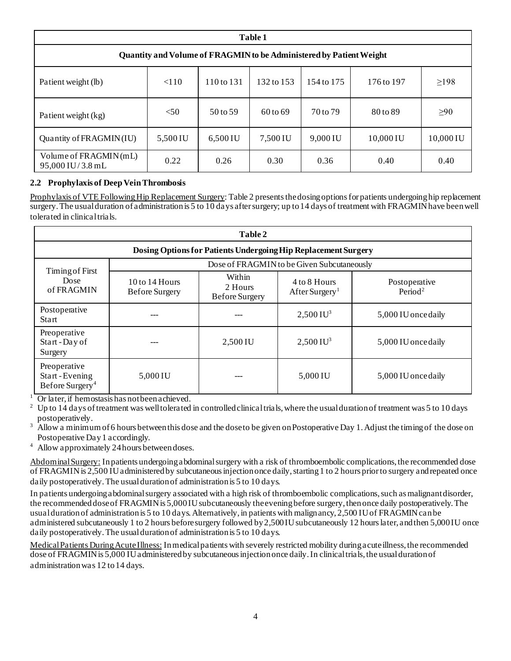| Table 1                                   |                                                                     |            |            |            |            |            |
|-------------------------------------------|---------------------------------------------------------------------|------------|------------|------------|------------|------------|
|                                           | Quantity and Volume of FRAGMIN to be Administered by Patient Weight |            |            |            |            |            |
| Patient weight (lb)                       | < 110                                                               | 110 to 131 | 132 to 153 | 154 to 175 | 176 to 197 | $\geq$ 198 |
| Patient weight (kg)                       | $<$ 50                                                              | 50 to 59   | 60 to 69   | 70 to 79   | 80 to 89   | $\geq 90$  |
| Quantity of FRAGMIN(IU)                   | 5,500 IU                                                            | 6,500 IU   | 7,500 IU   | 9,000 IU   | 10,000 IU  | 10,000 IU  |
| Volume of FRAGMIN(mL)<br>95,000 IU/3.8 mL | 0.22                                                                | 0.26       | 0.30       | 0.36       | 0.40       | 0.40       |

# **2.2 Prophylaxis of Deep Vein Thrombosis**

Prophylaxis of VTE Following Hip Replacement Surgery: Table 2 presents the dosing options for patients undergoing hip replacement surgery. The usual duration of administration is 5 to 10 days after surgery; up to 14 days of treatment with FRAGMIN have been well tolerated in clinical trials.

| Table 2                                                      |                                             |                                                                |                                            |                                      |
|--------------------------------------------------------------|---------------------------------------------|----------------------------------------------------------------|--------------------------------------------|--------------------------------------|
|                                                              |                                             | Dosing Options for Patients Undergoing Hip Replacement Surgery |                                            |                                      |
|                                                              |                                             |                                                                | Dose of FRAGMIN to be Given Subcutaneously |                                      |
| Timing of First<br>Dose<br>of FRAGMIN                        | $10$ to $14$ Hours<br><b>Before Surgery</b> | Within<br>2 Hours<br><b>Before Surgery</b>                     | 4 to 8 Hours<br>After Surgery <sup>1</sup> | Postoperative<br>Period <sup>2</sup> |
| Postoperative<br><b>Start</b>                                |                                             |                                                                | $2,500$ IU <sup>3</sup>                    | 5,000 IU once daily                  |
| Preoperative<br>Start - Day of<br>Surgery                    |                                             | 2,500 IU                                                       | $2,500 \,\mathrm{IU}^3$                    | 5,000 IU once daily                  |
| Preoperative<br>Start-Evening<br>Before Surgery <sup>4</sup> | 5,000 IU                                    |                                                                | 5,000 IU                                   | 5,000 IU once daily                  |

<sup>1</sup> Or later, if hemostasis has not been achieved.<br><sup>2</sup> Un to 14 days of trainment was well tolerated.

<sup>2</sup> Up to 14 days of treatment was well tolerated in controlled clinical trials, where the usual duration of treatment was 5 to 10 days postoperatively.

<sup>3</sup> Allow a minimum of 6 hours between this dose and the dose to be given on Postoperative Day 1. Adjust the timing of the dose on Postoperative Day 1 accordingly.

<sup>4</sup> Allow approximately 24 hours between doses.

Abdominal Surgery: In patients undergoing a bdominal surgery with a risk of thromboembolic complications, the recommended dose of FRAGMIN is 2,500 IU administered by subcutaneous injection once daily, starting 1 to 2 hours prior to surgery and repeated once daily postoperatively. The usual duration of administration is 5 to 10 days.

In patients undergoing abdominal surgery associated with a high risk of thromboembolic complications, such as malignant disorder, the recommended dose of FRAGMIN is 5,000 IU subcutaneously the evening before surgery, then once daily postoperatively. The usual duration of administration is 5 to 10 days. Alternatively, in patients with malignancy, 2,500 IU of FRAGMIN can be administered subcutaneously 1 to 2 hours before surgery followed by 2,500 IU subcutaneously 12 hours later, and then 5,000 IU once daily postoperatively. The usual duration of administration is 5 to 10 days.

Medical Patients During Acute Illness: In medical patients with severely restricted mobility during acute illness, the recommended dose of FRAGMIN is 5,000 IU administered by subcutaneous injection once daily. In clinical trials, the usual duration of administration was 12 to 14 days.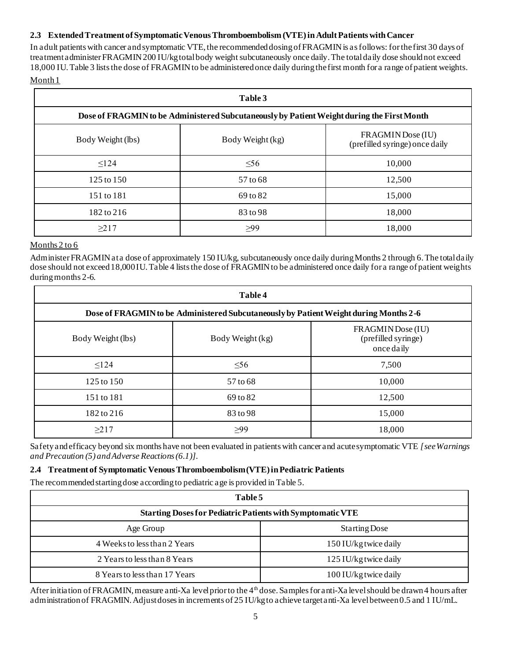#### **2.3 Extended Treatment of Symptomatic Venous Thromboembolism (VTE) inAdultPatients with Cancer**

In adult patients with cancer and symptomatic VTE, the recommended dosing of FRAGMIN is as follows: for the first 30 days of treatment administer FRAGMIN 200 IU/kg total body weight subcutaneously once daily. The total daily dose should not exceed 18,000 IU. Table 3 lists the dose of FRAGMIN to be administered once daily during the first month for a range of patient weights. Month 1

| Table 3           |                                                                                            |                                                     |  |  |
|-------------------|--------------------------------------------------------------------------------------------|-----------------------------------------------------|--|--|
|                   | Dose of FRAGMIN to be Administered Subcutaneously by Patient Weight during the First Month |                                                     |  |  |
| Body Weight (lbs) | Body Weight (kg)                                                                           | FRAGMIN Dose (IU)<br>(prefilled syringe) once daily |  |  |
| $\leq$ 124        | $\leq 56$                                                                                  | 10,000                                              |  |  |
| 125 to 150        | 57 to 68                                                                                   | 12,500                                              |  |  |
| 151 to 181        | 69 to 82                                                                                   | 15,000                                              |  |  |
| 182 to 216        | 83 to 98                                                                                   | 18,000                                              |  |  |
| $\geq$ 217        | >99                                                                                        | 18,000                                              |  |  |

#### Months 2 to 6

Administer FRAGMIN at a dose of approximately 150 IU/kg, subcutaneously once daily during Months 2 through 6. The total daily dose should not exceed 18,000 IU. Table 4 lists the dose of FRAGMIN to be administered once daily for a range of patient weights during months 2-6.

| Table 4           |                                                                                       |                                                        |  |  |
|-------------------|---------------------------------------------------------------------------------------|--------------------------------------------------------|--|--|
|                   | Dose of FRAGMIN to be Administered Subcutaneously by Patient Weight during Months 2-6 |                                                        |  |  |
| Body Weight (lbs) | Body Weight (kg)                                                                      | FRAGMIN Dose (IU)<br>(prefilled syringe)<br>once daily |  |  |
| $\leq$ 124        | $\leq 56$                                                                             | 7,500                                                  |  |  |
| 125 to 150        | 57 to 68                                                                              | 10,000                                                 |  |  |
| 151 to 181        | 69 to 82                                                                              | 12,500                                                 |  |  |
| 182 to 216        | 83 to 98                                                                              | 15,000                                                 |  |  |
| >217              | >99                                                                                   | 18,000                                                 |  |  |

Safety and efficacy beyond six months have not been evaluated in patients with cancer and acute symptomatic VTE *[see Warnings and Precaution (5) andAdverse Reactions (6.1)]*.

#### **2.4 Treatment of Symptomatic Venous Thromboembolism (VTE) in Pediatric Patients**

The recommended starting dose according to pediatric age is provided in Table 5.

| Table 5                                                           |                       |  |  |
|-------------------------------------------------------------------|-----------------------|--|--|
| <b>Starting Doses for Pediatric Patients with Symptomatic VTE</b> |                       |  |  |
| Age Group                                                         | Starting Dose         |  |  |
| 4 Weeks to less than 2 Years                                      | 150 IU/kg twice daily |  |  |
| 2 Years to less than 8 Years                                      | 125 IU/kg twice daily |  |  |
| 8 Years to less than 17 Years                                     | 100 IU/kg twice daily |  |  |

After initiation of FRAGMIN, measure anti-Xa level prior to the  $4<sup>th</sup>$  dose. Samples for anti-Xa level should be drawn 4 hours after administration of FRAGMIN. Adjust doses in increments of 25 IU/kg to achieve target anti-Xa level between 0.5 and 1 IU/mL.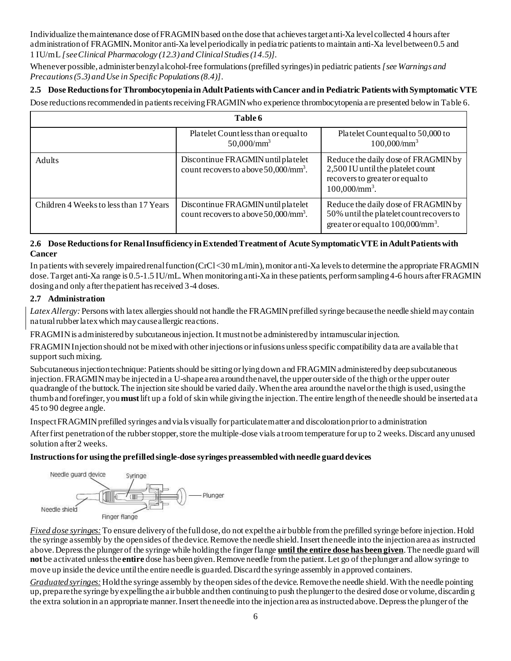Individualize the maintenance dose of FRAGMIN based on the dose that achieves target anti-Xa level collected 4 hours after administration of FRAGMIN**.**Monitor anti-Xa level periodically in pediatric patients to maintain anti-Xa level between 0.5 and 1 IU/mL *[see Clinical Pharmacology (12.3) and Clinical Studies (14.5)]*.

Whenever possible, administer benzyl alcohol-free formulations (prefilled syringes) in pediatric patients *[see Warnings and Precautions (5.3) and Use in Specific Populations (8.4)]*.

# **2.5 Dose Reductions for Thrombocytopenia in Adult Patients with Cancer and in Pediatric Patients with Symptomatic VTE**

Dose reductions recommended in patients receiving FRAGMIN who experience thrombocytopenia are presented below in Table 6.

| Table 6                                |                                                                                      |                                                                                                                                        |  |  |
|----------------------------------------|--------------------------------------------------------------------------------------|----------------------------------------------------------------------------------------------------------------------------------------|--|--|
|                                        | Platelet Countless than or equal to<br>$50,000/\text{mm}^3$                          | Platelet Countequal to 50,000 to<br>$100,000/\text{mm}^3$                                                                              |  |  |
| <b>Adults</b>                          | Discontinue FRAGMIN until platelet<br>count recovers to above $50,000/\text{mm}^3$ . | Reduce the daily dose of FRAGMIN by<br>2,500 IU until the platelet count<br>recovers to greater or equal to<br>$100,000/\text{mm}^3$ . |  |  |
| Children 4 Weeks to less than 17 Years | Discontinue FRAGMIN until platelet<br>count recovers to above $50,000/\text{mm}^3$ . | Reduce the daily dose of FRAGMIN by<br>50% until the platelet count recovers to<br>greater or equal to $100,000/\text{mm}^3$ .         |  |  |

#### **2.6 Dose Reductions for Renal Insufficiency in Extended Treatment of Acute Symptomatic VTE in Adult Patients with Cancer**

In patients with severely impaired renal function (CrCl <30 mL/min), monitor anti-Xa levels to determine the appropriate FRAGMIN dose. Target anti-Xa range is 0.5-1.5 IU/mL. When monitoring anti-Xa in these patients, perform sampling 4-6 hours after FRAGMIN dosing and only after the patient has received 3-4 doses.

## **2.7 Administration**

*Latex Allergy:* Persons with latex allergies should not handle the FRAGMIN prefilled syringe because the needle shield may contain natural rubber latex which may cause allergic reactions.

FRAGMIN is administered by subcutaneous injection. It must not be administered by intramuscular injection.

FRAGMIN Injection should not be mixed with other injections or infusions unless specific compatibility data are available tha t support such mixing.

Subcutaneous injection technique: Patients should be sitting or lying down and FRAGMIN administered by deep subcutaneous injection. FRAGMIN may be injected in a U-shape area around the navel, the upper outer side of the thigh or the upper outer quadrangle of the buttock. The injection site should be varied daily. When the area around the navel or the thigh is used, using the thumb and forefinger, you **must**lift up a fold of skin while giving the injection. The entire length of the needle should be inserted at a 45 to 90 degree angle.

Inspect FRAGMIN prefilled syringes and vials visually for particulate matter and discoloration prior to administration

After first penetration of the rubber stopper, store the multiple-dose vials at room temperature for up to 2 weeks. Discard any unused solution after 2 weeks.

# **Instructions for using the prefilled single-dose syringes preassembled with needle guard devices**



*Fixed dose syringes:*To ensure delivery of the full dose, do not expel the air bubble from the prefilled syringe before injection. Hold the syringe assembly by the open sides of the device. Remove the needle shield. Insert the needle into the injection area as instructed above. Depress the plunger of the syringe while holding the finger flange **until the entire dose has been given**. The needle guard will **not** be activated unless the **entire** dose has been given. Remove needle from the patient. Let go of the plunger and allow syringe to move up inside the device until the entire needle is guarded. Discard the syringe assembly in approved containers.

*Graduated syringes:*Hold the syringe assembly by the open sides of the device. Remove the needle shield. With the needle pointing up, prepare the syringe by expelling the air bubble and then continuing to push the plunger to the desired dose or volume, discardin g the extra solution in an appropriate manner. Insert the needle into the injection area as instructed above. Depress the plunger of the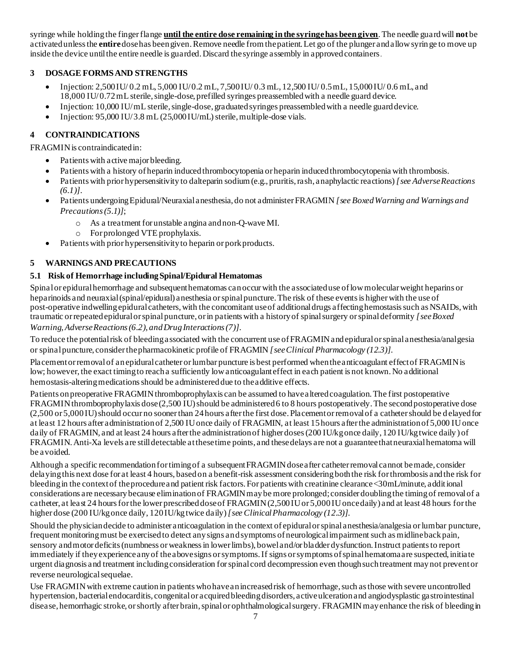syringe while holding the finger flange **until the entire dose remaining in the syringe has been given**. The needle guard will **not** be activated unless the **entire**dose has been given. Remove needle from the patient. Let go of the plunger and allow syringe to move up inside the device until the entire needle is guarded. Discard the syringe assembly in approved containers.

# **3 DOSAGE FORMS AND STRENGTHS**

- Injection:  $2,500$  IU/ $0.2$  mL,  $5,000$  IU/ $0.2$  mL,  $7,500$  IU/ $0.3$  mL,  $12,500$  IU/ $0.5$  mL,  $15,000$  IU/ $0.6$  mL, and 18,000 IU/0.72 mL sterile, single-dose, prefilled syringes preassembled with a needle guard device.
- Injection: 10,000 IU/ mL sterile, single-dose, graduated syringes preassembled with a needle guard device.
- Injection: 95,000 IU/ 3.8 mL (25,000 IU/mL) sterile, multiple-dose vials.

# **4 CONTRAINDICATIONS**

FRAGMIN is contraindicated in:

- Patients with active major bleeding.
- Patients with a history of heparin induced thrombocytopenia or heparin induced thrombocytopenia with thrombosis.
- Patients with prior hypersensitivity to dalteparin sodium (e.g., pruritis, rash, anaphylactic reactions) *[see Adverse Reactions (6.1)]*.
- Patients undergoing Epidural/Neuraxial anesthesia, do not administer FRAGMIN *[see Boxed Warning and Warnings and Precautions (5.1)]*;
	- o As a treatment for unstable angina and non-Q-wave MI.
	- o For prolonged VTE prophylaxis.
- Patients with prior hypersensitivity to heparin or pork products.

# **5 WARNINGS AND PRECAUTIONS**

## **5.1 Risk of Hemorrhage including Spinal/Epidural Hematomas**

Spinal or epidural hemorrhage and subsequent hematomas can occur with the associated use of low molecular weight heparins or heparinoids and neuraxial (spinal/epidural) anesthesia or spinal puncture. The risk of these events is higher with the use of post-operative indwelling epidural catheters, with the concomitant use of additional drugs affecting hemostasis such as NSAIDs, with traumatic or repeated epidural or spinal puncture, or in patients with a history of spinal surgery or spinal deformity *[see Boxed Warning, Adverse Reactions (6.2), and Drug Interactions (7)]*.

To reduce the potential risk of bleeding associated with the concurrent use of FRAGMIN and epidural or spinal anesthesia/analgesia or spinal puncture, consider the pharmacokinetic profile of FRAGMIN *[see Clinical Pharmacology (12.3)].*

Placement or removal of an epidural catheter or lumbar puncture is best performed when the anticoagulant effect of FRAGMIN is low; however, the exact timing to reach a sufficiently low anticoagulant effect in each patient is not known. No additional hemostasis-altering medications should be administered due to the additive effects.

Patients on preoperative FRAGMIN thromboprophylaxis can be assumed to have altered coagulation. The first postoperative FRAGMIN thromboprophylaxis dose (2,500 IU) should be administered 6 to 8 hours postoperatively. The second postoperative dose (2,500 or 5,000 IU) should occur no sooner than 24 hours after the first dose. Placement or removal of a catheter should be d elayed for at least 12 hours after administration of 2,500 IU once daily of FRAGMIN, at least 15 hours after the administration of 5,000 IU once daily of FRAGMIN, and at least 24 hours after the administration of higher doses (200 IU/kg once daily, 120 IU/kg twice daily) of FRAGMIN. Anti-Xa levels are still detectable at these time points, and these delays are not a guarantee that neuraxial hematoma will be avoided.

Although a specific recommendation for timing of a subsequent FRAGMIN dose after catheter removal cannot be made, consider delaying this next dose for at least 4 hours, based on a benefit-risk assessment considering both the risk for thrombosis and the risk for bleeding in the context of the procedure and patient risk factors. For patients with creatinine clearance <30mL/minute, additional considerations are necessary because elimination of FRAGMIN may be more prolonged; consider doubling the timing of removal of a catheter, at least 24 hours for the lower prescribed dose of FRAGMIN (2,500 IU or 5,000 IU once daily) and at least 48 hours for the higher dose (200 IU/kg once daily, 120 IU/kg twice daily) *[see Clinical Pharmacology (12.3)].*

Should the physician decide to administer anticoagulation in the context of epidural or spinal anesthesia/analgesia or lumbar puncture, frequent monitoring must be exercised to detect any signs and symptoms of neurological impairment such as midline back pain, sensory and motor deficits (numbness or weakness in lower limbs), bowel and/or bladder dysfunction. Instruct patients to report immediately if they experience any of the above signs or symptoms. If signs or symptoms of spinal hematoma are suspected, initiate urgent diagnosis and treatment including consideration for spinal cord decompression even though such treatment may not prevent or reverse neurological sequelae.

Use FRAGMIN with extreme caution in patients who have an increased risk of hemorrhage, such as those with severe uncontrolled hypertension, bacterial endocarditis, congenital or acquired bleeding disorders, active ulceration and angiodysplastic gastrointestinal disease, hemorrhagic stroke, or shortly after brain, spinal or ophthalmological surgery. FRAGMINmay enhance the risk of bleeding in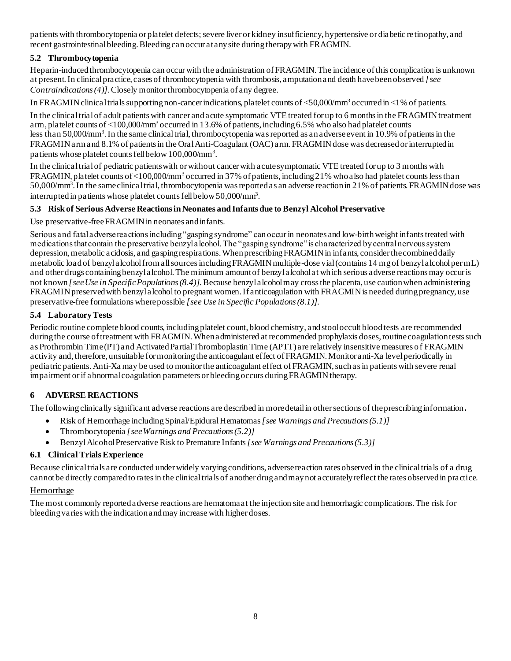patients with thrombocytopenia or platelet defects; severe liver or kidney insufficiency, hypertensive or diabetic retinopathy, and recent gastrointestinal bleeding. Bleeding can occur at any site during therapy with FRAGMIN.

# **5.2 Thrombocytopenia**

Heparin-induced thrombocytopenia can occur with the administration of FRAGMIN. The incidence of this complication is unknown at present. In clinical practice, cases of thrombocytopenia with thrombosis, amputation and death have been observed *[see Contraindications (4)]*. Closely monitor thrombocytopenia of any degree.

In FRAGMIN clinical trials supporting non-cancer indications, platelet counts of <50,000/mm<sup>3</sup> occurred in <1% of patients.

In the clinical trial of adult patients with cancer and acute symptomatic VTE treated for up to 6 months in the FRAGMIN treatment arm, platelet counts of <100,000/mm<sup>3</sup> occurred in 13.6% of patients, including 6.5% who also had platelet counts less than 50,000/mm<sup>3</sup>. In the same clinical trial, thrombocytopenia was reported as an adverse event in 10.9% of patients in the FRAGMIN arm and 8.1% of patients in the Oral Anti-Coagulant (OAC) arm. FRAGMIN dose was decreased or interrupted in patients whose platelet counts fell below 100,000/mm<sup>3</sup>.

In the clinical trial of pediatric patients with or without cancer with acute symptomatic VTE treated for up to 3 months with FRAGMIN, platelet counts of <100,000/mm<sup>3</sup> occurred in 37% of patients, including 21% who also had platelet counts less than 50,000/mm<sup>3</sup>. In the same clinical trial, thrombocytopenia was reported as an adverse reaction in 21% of patients. FRAGMIN dose was interrupted in patients whose platelet counts fell below 50,000/mm<sup>3</sup> .

# **5.3 Risk of Serious Adverse Reactions in Neonates and Infants due to Benzyl Alcohol Preservative**

Use preservative-free FRAGMIN in neonates and infants.

Serious and fatal adverse reactions including "gasping syndrome" can occur in neonates and low-birth weight infants treated with medications that contain the preservative benzyl alcohol. The "gasping syndrome" is characterized by central nervous system depression, metabolic acidosis, and gasping respirations. When prescribing FRAGMIN in infants, consider the combined daily metabolic load of benzyl alcohol from all sources including FRAGMIN multiple-dose vial (contains 14 mg of benzyl alcohol per mL) and other drugs containing benzyl alcohol. The minimum amount of benzyl alcohol at which serious adverse reactions may occur is not known *[see Use in Specific Populations (8.4)].*Because benzyl alcohol may cross the placenta, use caution when administering FRAGMIN preserved with benzyl alcohol to pregnant women. If anticoagulation with FRAGMIN is needed during pregnancy, use preservative-free formulations where possible *[see Use in Specific Populations (8.1)].*

# **5.4 Laboratory Tests**

Periodic routine complete blood counts, including platelet count, blood chemistry, and stool occult blood tests are recommended during the course of treatment with FRAGMIN. When a dministered at recommended prophylaxis doses, routine coagulation tests such as Prothrombin Time (PT) and Activated Partial Thromboplastin Time (APTT) are relatively insensitive measures of FRAGMIN activity and, therefore, unsuitable for monitoring the anticoagulant effect of FRAGMIN. Monitor anti-Xa level periodically in pediatric patients. Anti-Xa may be used to monitor the anticoagulant effect of FRAGMIN, such as in patients with severe renal impairment or if abnormal coagulation parameters or bleeding occurs during FRAGMIN therapy.

# **6 ADVERSE REACTIONS**

The following clinically significant adverse reactions are described in more detail in other sections of the prescribing information**.**

- Risk of Hemorrhage including Spinal/Epidural Hematomas*[see Warnings and Precautions (5.1)]*
- Thrombocytopenia *[see Warnings and Precautions (5.2)]*
- Benzyl Alcohol Preservative Risk to Premature Infants *[see Warnings and Precautions (5.3)]*

# **6.1 Clinical Trials Experience**

Because clinical trials are conducted under widely varying conditions, adverse reaction rates observed in the clinical trials of a drug cannot be directly compared to rates in the clinical trials of another drug and may not accurately reflect the rates observed in practice.

# Hemorrhage

The most commonly reported adverse reactions are hematoma at the injection site and hemorrhagic complications. The risk for bleeding varies with the indication and may increase with higher doses.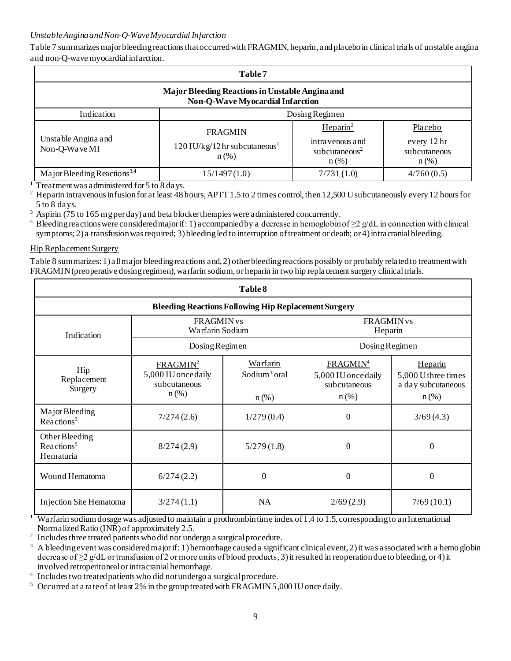## *Unstable Angina and Non-Q-Wave Myocardial Infarction*

Table 7 summarizes major bleeding reactions that occurred with FRAGMIN, heparin, and placebo in clinical trials of unstable angina and non-Q-wave myocardial infarction.

| Table 7                                                                                                                                                                                                                                                      |              |                |            |  |
|--------------------------------------------------------------------------------------------------------------------------------------------------------------------------------------------------------------------------------------------------------------|--------------|----------------|------------|--|
| Major Bleeding Reactions in Unstable Angina and<br><b>Non-Q-Wave Myocardial Infarction</b>                                                                                                                                                                   |              |                |            |  |
| Indication                                                                                                                                                                                                                                                   |              | Dosing Regimen |            |  |
| $H$ eparin <sup>2</sup><br>Placebo<br><b>FRAGMIN</b><br>Unstable Angina and<br>every 12 hr<br>intra venous and<br>$120$ IU/kg/12 hr subcutaneous <sup>1</sup><br>Non-Q-Wave MI<br>subcutaneous <sup>2</sup><br>subcutaneous<br>$n$ (%)<br>$n$ (%)<br>$n$ (%) |              |                |            |  |
| Major Bleeding Reactions <sup>3,4</sup>                                                                                                                                                                                                                      | 15/1497(1.0) | 7/731(1.0)     | 4/760(0.5) |  |

<sup>1</sup> Treatment was administered for 5 to 8 days.<br><sup>2</sup> Henarin intravenous infusion for at least 481

<sup>2</sup> Heparin intravenous infusion for at least 48 hours, APTT 1.5 to 2 times control, then 12,500 U subcutaneously every 12 hours for 5 to 8 days.

 $3$  Aspirin (75 to 165 mg per day) and beta blocker therapies were administered concurrently.

<sup>4</sup> Bleeding reactions were considered major if: 1) accompanied by a decrease in hemoglobin of ≥2 g/dL in connection with clinical symptoms; 2) a transfusion was required; 3) bleeding led to interruption of treatment or death; or 4) intracranial bleeding.

#### Hip Replacement Surgery

Table 8 summarizes: 1) all major bleeding reactions and, 2) other bleeding reactions possibly or probably related to treatment with FRAGMIN (preoperative dosing regimen), warfarin sodium, or heparin in two hip replacement surgery clinical trials.

| Table 8                                               |                                                                        |                                                             |                                                                        |                                                                 |
|-------------------------------------------------------|------------------------------------------------------------------------|-------------------------------------------------------------|------------------------------------------------------------------------|-----------------------------------------------------------------|
|                                                       |                                                                        | <b>Bleeding Reactions Following Hip Replacement Surgery</b> |                                                                        |                                                                 |
| Indication                                            | <b>FRAGMIN</b> vs<br>Warfarin Sodium                                   |                                                             | <b>FRAGMIN</b> vs<br>Heparin                                           |                                                                 |
|                                                       | Dosing Regimen                                                         |                                                             | Dosing Regimen                                                         |                                                                 |
| Hip<br>Replacement<br>Surgery                         | FRAGMIN <sup>2</sup><br>5,000 IU once daily<br>subcutaneous<br>$n$ (%) | Warfarin<br>Sodium <sup>1</sup> oral<br>$n$ (%)             | FRAGMIN <sup>4</sup><br>5,000 IU once daily<br>subcutaneous<br>$n$ (%) | Heparin<br>5,000 U three times<br>a day subcutaneous<br>$n$ (%) |
| Major Bleeding<br>Reactions <sup>3</sup>              | 7/274(2.6)                                                             | 1/279(0.4)                                                  | 0                                                                      | 3/69(4.3)                                                       |
| Other Bleeding<br>Reactions <sup>5</sup><br>Hematuria | 8/274(2.9)                                                             | 5/279(1.8)                                                  | 0                                                                      | 0                                                               |
| Wound Hematoma                                        | 6/274(2.2)                                                             | $\theta$                                                    | $\theta$                                                               | $\Omega$                                                        |
| Injection Site Hematoma                               | 3/274(1.1)                                                             | <b>NA</b>                                                   | 2/69(2.9)                                                              | 7/69(10.1)                                                      |

<sup>1</sup> Warfarin sodium dosage was adjusted to maintain a prothrombin time index of 1.4 to 1.5, corresponding to an International Normalized Ratio (INR) of approximately 2.5.

2 Includes three treated patients who did not undergo a surgical procedure.

<sup>3</sup> A bleeding event was considered major if: 1) hemorrhage caused a significant clinical event, 2) it was associated with a hemo globin decrease of  $\geq$  g/dL or transfusion of 2 or more units of blood products, 3) it resulted in reoperation due to bleeding, or 4) it involved retroperitoneal or intracranial hemorrhage.

4 Includes two treated patients who did not undergo a surgical procedure.

<sup>5</sup> Occurred at a rate of at least 2% in the group treated with FRAGMIN 5,000 IU once daily.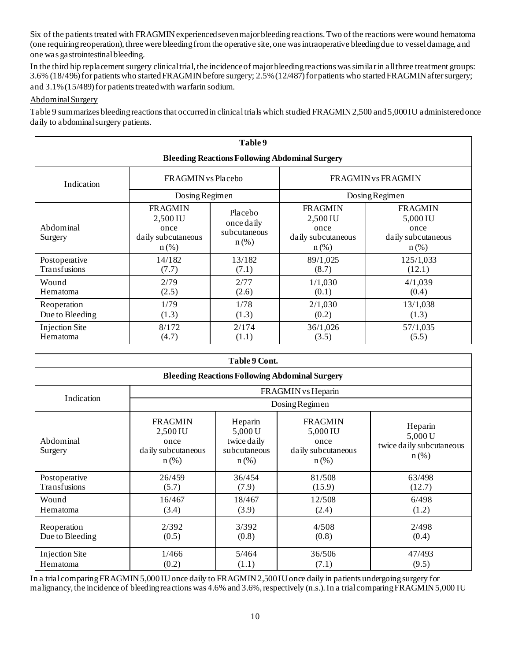Six of the patients treated with FRAGMIN experienced seven major bleeding reactions. Two of the reactions were wound hematoma (one requiring reoperation), three were bleeding from the operative site, one was intraoperative bleeding due to vessel damage, and one was gastrointestinal bleeding.

In the third hip replacement surgery clinical trial, the incidence of major bleeding reactions was similar in all three treatment groups: 3.6% (18/496) for patients who started FRAGMIN before surgery; 2.5% (12/487) for patients who started FRAGMIN after surgery; and 3.1% (15/489) for patients treated with warfarin sodium.

#### Abdominal Surgery

Table 9 summarizes bleeding reactions that occurred in clinical trials which studied FRAGMIN 2,500 and 5,000 IU administered once daily to abdominal surgery patients.

| Table 9                           |                                                                     |                                                       |                                                                     |                                                                     |
|-----------------------------------|---------------------------------------------------------------------|-------------------------------------------------------|---------------------------------------------------------------------|---------------------------------------------------------------------|
|                                   |                                                                     | <b>Bleeding Reactions Following Abdominal Surgery</b> |                                                                     |                                                                     |
| Indication                        | FRAGMIN vs Placebo                                                  |                                                       | FRAGMIN vs FRAGMIN                                                  |                                                                     |
|                                   | Dosing Regimen                                                      |                                                       |                                                                     | Dosing Regimen                                                      |
| Abdominal<br>Surgery              | <b>FRAGMIN</b><br>2,500 IU<br>once<br>daily subcutaneous<br>$n$ (%) | Placebo<br>once daily<br>subcutaneous<br>$n$ (%)      | <b>FRAGMIN</b><br>2,500 IU<br>once<br>daily subcutaneous<br>$n$ (%) | <b>FRAGMIN</b><br>5,000 IU<br>once<br>daily subcutaneous<br>$n$ (%) |
| Postoperative<br>Transfusions     | 14/182<br>(7.7)                                                     | 13/182<br>(7.1)                                       | 89/1,025<br>(8.7)                                                   | 125/1,033<br>(12.1)                                                 |
| Wound<br>Hematoma                 | 2/79<br>(2.5)                                                       | 2/77<br>(2.6)                                         | 1/1,030<br>(0.1)                                                    | 4/1,039<br>(0.4)                                                    |
| Reoperation<br>Due to Bleeding    | 1/79<br>(1.3)                                                       | 1/78<br>(1.3)                                         | 2/1,030<br>(0.2)                                                    | 13/1,038<br>(1.3)                                                   |
| <b>Injection Site</b><br>Hematoma | 8/172<br>(4.7)                                                      | 2/174<br>(1.1)                                        | 36/1,026<br>(3.5)                                                   | 57/1,035<br>(5.5)                                                   |

| Table 9 Cont.                     |                                                                                                                                                                                                                                                                         |                 |                                                       |                  |  |
|-----------------------------------|-------------------------------------------------------------------------------------------------------------------------------------------------------------------------------------------------------------------------------------------------------------------------|-----------------|-------------------------------------------------------|------------------|--|
|                                   |                                                                                                                                                                                                                                                                         |                 | <b>Bleeding Reactions Following Abdominal Surgery</b> |                  |  |
| FRAGMIN vs Heparin                |                                                                                                                                                                                                                                                                         |                 |                                                       |                  |  |
| Indication                        |                                                                                                                                                                                                                                                                         |                 | Dosing Regimen                                        |                  |  |
| Abdominal<br>Surgery              | <b>FRAGMIN</b><br><b>FRAGMIN</b><br>Heparin<br>Heparin<br>2,500 IU<br>5,000 U<br>5,000 IU<br>5,000 U<br>twice daily<br>once<br>once<br>twice daily subcutaneous<br>subcutaneous<br>daily subcutaneous<br>daily subcutaneous<br>$n$ (%)<br>$n$ (%)<br>$n$ (%)<br>$n$ (%) |                 |                                                       |                  |  |
| Postoperative<br>Transfusions     | 26/459<br>(5.7)                                                                                                                                                                                                                                                         | 36/454<br>(7.9) | 81/508<br>(15.9)                                      | 63/498<br>(12.7) |  |
| Wound<br>Hematoma                 | 16/467<br>(3.4)                                                                                                                                                                                                                                                         | 18/467<br>(3.9) | 12/508<br>(2.4)                                       | 6/498<br>(1.2)   |  |
| Reoperation<br>Due to Bleeding    | 2/392<br>(0.5)                                                                                                                                                                                                                                                          | 3/392<br>(0.8)  | 4/508<br>(0.8)                                        | 2/498<br>(0.4)   |  |
| <b>Injection Site</b><br>Hematoma | 1/466<br>(0.2)                                                                                                                                                                                                                                                          | 5/464<br>(1.1)  | 36/506<br>(7.1)                                       | 47/493<br>(9.5)  |  |

In a trial comparing FRAGMIN 5,000 IU once daily to FRAGMIN 2,500 IU once daily in patients undergoing surgery for malignancy, the incidence of bleeding reactions was 4.6% and 3.6%, respectively (n.s.). In a trial comparing FRAGMIN 5,000 IU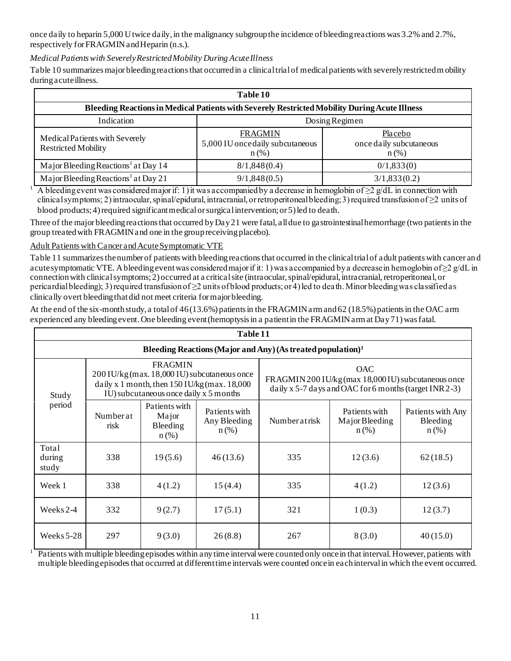once daily to heparin 5,000 U twice daily, in the malignancy subgroup the incidence of bleeding reactions was 3.2% and 2.7%, respectively for FRAGMIN and Heparin (n.s.).

# *Medical Patients with Severely Restricted Mobility During Acute Illness*

Table 10 summarizes major bleeding reactions that occurred in a clinical trial of medical patients with severely restricted m obility during acute illness.

| Table 10                                                                                             |                                                               |                                               |  |  |
|------------------------------------------------------------------------------------------------------|---------------------------------------------------------------|-----------------------------------------------|--|--|
| <b>Bleeding Reactions in Medical Patients with Severely Restricted Mobility During Acute Illness</b> |                                                               |                                               |  |  |
| Indication<br>Dosing Regimen                                                                         |                                                               |                                               |  |  |
| Medical Patients with Severely<br><b>Restricted Mobility</b>                                         | <b>FRAGMIN</b><br>5,000 IU once daily subcutaneous<br>$n(\%)$ | Placebo<br>once daily subcutaneous<br>$n$ (%) |  |  |
| Major Bleeding Reactions <sup>1</sup> at Day 14                                                      | 8/1,848(0.4)                                                  | 0/1,833(0)                                    |  |  |
| Major Bleeding Reactions <sup>1</sup> at Day 21                                                      | 9/1,848(0.5)                                                  | 3/1,833(0.2)                                  |  |  |

 $1$  A bleeding event was considered major if: 1) it was accompanied by a decrease in hemoglobin of  $\geq 2$  g/dL in connection with clinical symptoms; 2) intraocular, spinal/epidural, intracranial, or retroperitoneal bleeding; 3) required transfusion of ≥2 units of blood products; 4) required significant medical or surgical intervention; or 5) led to death.

Three of the major bleeding reactions that occurred by Day 21 were fatal, all due to gastrointestinal hemorrhage (two patients in the group treated with FRAGMIN and one in the group receiving placebo).

Adult Patients with Cancer and Acute Symptomatic VTE

Table 11 summarizes the number of patients with bleeding reactions that occurred in the clinical trial of adult patients with cancer an d acute symptomatic VTE. A bleeding event was considered major if it: 1) was accompanied by a decrease in hemoglobin of  $\geq 2$  g/dL in connection with clinical symptoms; 2) occurred at a critical site (intraocular, spinal/epidural, intracranial, retroperitoneal, or pericardial bleeding); 3) required transfusion of  $\geq 2$  units of blood products; or 4) led to death. Minor bleeding was classified as clinically overt bleeding that did not meet criteria for major bleeding.

At the end of the six-month study, a total of 46 (13.6%) patients in the FRAGMIN arm and 62 (18.5%) patients in the OAC arm experienced any bleeding event. One bleeding event (hemoptysis in a patient in the FRAGMIN arm at Day 71) was fatal.

| Table 11                 |                                                                         |                                               |                                                                                                                                            |              |                                                                                                                      |                                                 |  |
|--------------------------|-------------------------------------------------------------------------|-----------------------------------------------|--------------------------------------------------------------------------------------------------------------------------------------------|--------------|----------------------------------------------------------------------------------------------------------------------|-------------------------------------------------|--|
|                          | Bleeding Reactions (Major and Any) (As treated population) <sup>1</sup> |                                               |                                                                                                                                            |              |                                                                                                                      |                                                 |  |
| Study                    |                                                                         | <b>FRAGMIN</b>                                | 200 IU/kg (max. 18,000 IU) subcutaneous once<br>daily x 1 month, then $150$ IU/kg (max. $18,000$<br>IU) subcutaneous once daily x 5 months |              | OAC<br>FRAGMIN 200 IU/kg (max 18,000 IU) subcutaneous once<br>daily x 5-7 days and OAC for 6 months (target INR 2-3) |                                                 |  |
| period                   | Numberat<br>risk                                                        | Patients with<br>Major<br>Bleeding<br>$n$ (%) | Patients with<br>Any Bleeding<br>$n$ (%)                                                                                                   | Numberatrisk | Patients with<br>Major Bleeding<br>$n$ (%)                                                                           | Patients with Any<br><b>Bleeding</b><br>$n$ (%) |  |
| Total<br>during<br>study | 338                                                                     | 19(5.6)                                       | 46(13.6)                                                                                                                                   | 335          | 12(3.6)                                                                                                              | 62(18.5)                                        |  |
| Week 1                   | 338                                                                     | 4(1.2)                                        | 15(4.4)                                                                                                                                    | 335          | 4(1.2)                                                                                                               | 12(3.6)                                         |  |
| Weeks 2-4                | 332                                                                     | 9(2.7)                                        | 17(5.1)                                                                                                                                    | 321          | 1(0.3)                                                                                                               | 12(3.7)                                         |  |
| Weeks $5-28$             | 297                                                                     | 9(3.0)                                        | 26(8.8)                                                                                                                                    | 267          | 8(3.0)                                                                                                               | 40(15.0)                                        |  |

 $\frac{1}{1}$  Patients with multiple bleeding episodes within any time interval were counted only once in that interval. However, patients with multiple bleeding episodes that occurred at different time intervals were counted once in each interval in which the event occurred.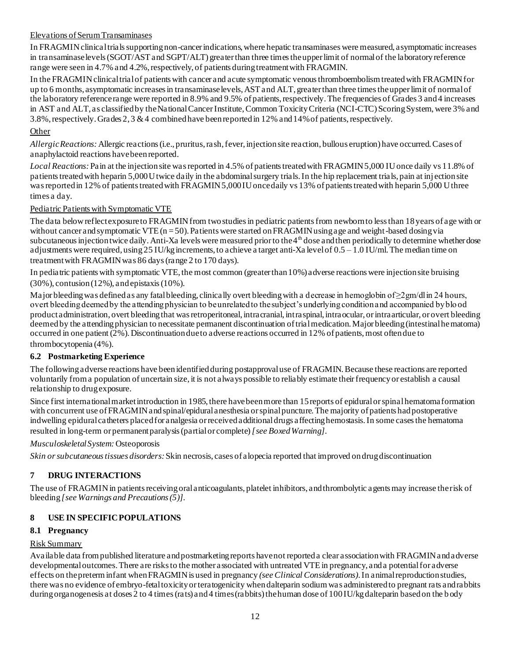#### Elevations of Serum Transaminases

In FRAGMIN clinical trials supporting non-cancer indications, where hepatic transaminases were measured, asymptomatic increases in transaminase levels (SGOT/AST and SGPT/ALT) greater than three times the upper limit of normal of the laboratory reference range were seen in 4.7% and 4.2%, respectively, of patients during treatment with FRAGMIN.

In the FRAGMIN clinical trial of patients with cancer and acute symptomatic venous thromboembolism treated with FRAGMIN for up to 6 months, asymptomatic increases in transaminase levels, AST and ALT, greater than three times the upper limit of normal of the laboratory reference range were reported in 8.9% and 9.5% of patients, respectively. The frequencies of Grades 3 and 4 increases in AST and ALT, as classified by the National Cancer Institute, Common Toxicity Criteria (NCI-CTC) Scoring System, were 3% and 3.8%, respectively. Grades 2, 3 & 4 combined have been reported in 12% and 14% of patients, respectively.

# **Other**

*Allergic Reactions:* Allergic reactions (i.e., pruritus, rash, fever, injection site reaction, bullous eruption) have occurred. Cases of anaphylactoid reactions have been reported.

*Local Reactions:* Pain at the injection site was reported in 4.5% of patients treated with FRAGMIN 5,000 IU once daily vs 11.8% of patients treated with heparin 5,000 U twice daily in the abdominal surgery trials. In the hip replacement trials, pain at inj ection site was reported in 12% of patients treated with FRAGMIN 5,000 IU once daily vs 13% of patients treated with heparin 5,000 U three times a day.

# Pediatric Patients with Symptomatic VTE

The data below reflect exposure to FRAGMIN from two studies in pediatric patients from newborn to less than 18 years of a ge with or without cancer and symptomatic VTE  $(n = 50)$ . Patients were started on FRAGMIN using age and weight-based dosing via subcutaneous injection twice daily. Anti-Xa levels were measured prior to the 4<sup>th</sup> dose and then periodically to determine whether dose adjustments were required, using  $25 \text{ IU/kg}$  increments, to achieve a target anti-Xa level of  $0.5 - 1.0 \text{ IU/ml}$ . The median time on treatment with FRAGMIN was 86 days (range 2 to 170 days).

In pediatric patients with symptomatic VTE, the most common (greater than 10%) adverse reactions were injection site bruising (30%), contusion (12%), and epistaxis (10%).

Major bleeding was defined as any fatal bleeding, clinically overt bleeding with a decrease in hemoglobin of  $\geq 2$ gm/dl in 24 hours, overt bleeding deemed by the attending physician to be unrelated to the subject's underlying condition and accompanied by blo od product administration, overt bleeding that was retroperitoneal, intracranial, intraspinal, intraocular, or intraarticular, or overt bleeding deemed by the attending physician to necessitate permanent discontinuation of trial medication. Major bleeding (intestinal hematoma) occurred in one patient (2%). Discontinuation due to adverse reactions occurred in 12% of patients, most often due to thrombocytopenia (4%).

# **6.2 Postmarketing Experience**

The following adverse reactions have been identified during postapprovaluse of FRAGMIN. Because these reactions are reported voluntarily from a population of uncertain size, it is not always possible to reliably estimate their frequency or establish a causal relationship to drug exposure.

Since first international market introduction in 1985, there have been more than 15 reports of epidural or spinal hematoma formation with concurrent use of FRAGMIN and spinal/epidural anesthesia or spinal puncture. The majority of patients had postoperative indwelling epidural catheters placed for analgesia or received additional drugs affecting hemostasis. In some cases the hematoma resulted in long-term or permanent paralysis (partial or complete) *[see Boxed Warning]*.

*Musculoskeletal System:* Osteoporosis

*Skin or subcutaneous tissues disorders:*Skin necrosis, cases of alopecia reported that improved on drug discontinuation

# **7 DRUG INTERACTIONS**

The use of FRAGMIN in patients receiving oral anticoagulants, platelet inhibitors, and thrombolytic agents may increase the risk of bleeding *[see Warnings and Precautions (5)]*.

# **8 USE IN SPECIFIC POPULATIONS**

# **8.1 Pregnancy**

#### Risk Summary

Available data from published literature and postmarketing reports have not reported a clear association with FRAGMIN and adverse developmental outcomes. There are risks to the mother associated with untreated VTE in pregnancy, and a potential for adverse effects on the preterm infant when FRAGMIN is used in pregnancy *(see Clinical Considerations)*. In animal reproduction studies, there was no evidence of embryo-fetal toxicity or teratogenicity when dalteparin sodium was administered to pregnant rats and rabbits during organogenesis at doses 2 to 4 times (rats) and 4 times (rabbits) the human dose of 100 IU/kg dalteparin based on the b ody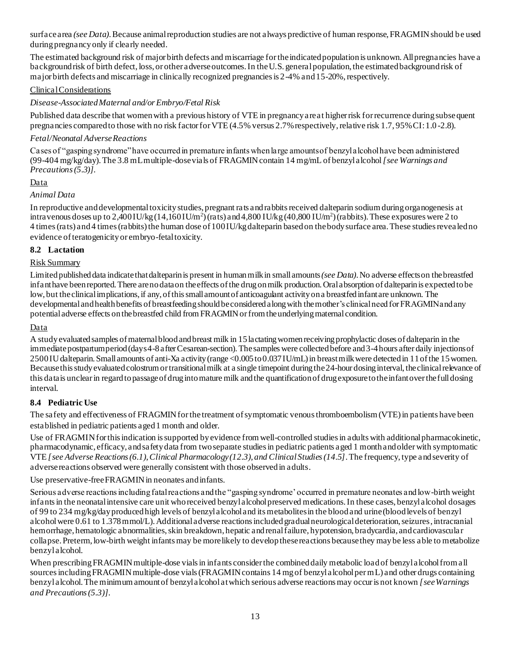surface area *(see Data)*.Because animal reproduction studies are not always predictive of human response, FRAGMIN should be used during pregnancy only if clearly needed.

The estimated background risk of major birth defects and miscarriage for the indicated population is unknown. All pregnancies have a background risk of birth defect, loss, or other adverse outcomes. In the U.S. general population, the estimated background risk of major birth defects and miscarriage in clinically recognized pregnancies is 2-4% and 15-20%, respectively.

#### Clinical Considerations

## *Disease-Associated Maternal and/or Embryo/Fetal Risk*

Published data describe that women with a previous history of VTE in pregnancy are at higher risk for recurrence during subsequent pregnancies compared to those with no risk factor for VTE (4.5% versus 2.7% respectively, relative risk 1.7, 95% CI: 1.0 -2.8).

#### *Fetal/Neonatal Adverse Reactions*

Cases of "gasping syndrome" have occurred in premature infants when large amounts of benzyl alcohol have been administered (99-404 mg/kg/day). The 3.8 mL multiple-dose vials of FRAGMIN contain 14 mg/mL of benzyl alcohol *[see Warnings and Precautions (5.3)]*.

## Data

## *Animal Data*

In reproductive and developmental toxicity studies, pregnant rats and rabbits received dalteparin sodium during organogenesis at intravenous doses up to 2,400 IU/kg  $(14,160$  IU/m<sup>2</sup>) (rats) and 4,800 IU/kg  $(40,800$  IU/m<sup>2</sup>) (rabbits). These exposures were 2 to 4 times (rats) and 4 times (rabbits) the human dose of 100 IU/kg dalteparin based on the body surface area. These studies revea led no evidence of teratogenicity or embryo-fetal toxicity.

#### **8.2 Lactation**

## Risk Summary

Limited published data indicate that dalteparin is present in human milk in small amounts *(see Data)*. No adverse effects on the breastfed infant have been reported. There are no data on the effects of the drug on milk production. Oral absorption of dalteparin is expected to be low, but the clinical implications, if any, of this small amount of anticoagulant activity on a breastfed infant are unknown. The developmental and health benefits of breastfeeding should be considered along with the mother's clinical need for FRAGMIN and any potential adverse effects on the breastfed child from FRAGMIN or from the underlying maternal condition.

## Data

A study evaluated samples of maternal blood and breast milk in 15 lactating women receiving prophylactic doses of dalteparin in the immediate postpartum period (days 4-8 after Cesarean-section). The samples were collected before and 3-4 hours after daily injections of 2500 IU dalteparin. Small amounts of anti-Xa activity (range <0.005 to 0.037 IU/mL) in breast milk were detected in 11 of the 15 women. Because this study evaluated colostrum or transitional milk at a single timepoint during the 24-hour dosinginterval, the clinical relevance of this data is unclear in regardto passage of drug into mature milk and the quantification of drug exposure to the infant over the full dosing interval.

#### **8.4 Pediatric Use**

The safety and effectiveness of FRAGMIN for the treatment of symptomatic venous thromboembolism (VTE) in patients have been established in pediatric patients aged 1 month and older.

Use of FRAGMIN for this indication is supported by evidence from well-controlled studies in adults with additional pharmacokinetic, pharmacodynamic, efficacy, and safety data from two separate studies in pediatric patients aged 1 month and older with symptomatic VTE *[see Adverse Reactions (6.1), Clinical Pharmacology (12.3), and Clinical Studies (14.5]*. The frequency, type and severity of adverse reactions observed were generally consistent with those observed in adults.

#### Use preservative-free FRAGMIN in neonates and infants.

Serious adverse reactions including fatal reactions and the "gasping syndrome' occurred in premature neonates and low-birth weight infants in the neonatal intensive care unit who received benzyl alcohol preserved medications. In these cases, benzyl alcohol dosages of 99 to 234 mg/kg/day produced high levels of benzyl alcohol and its metabolites in the blood and urine (blood levels of benzyl alcohol were 0.61 to 1.378 mmol/L). Additional adverse reactions included gradual neurological deterioration, seizures, intracranial hemorrhage, hematologic abnormalities, skin breakdown, hepatic and renal failure, hypotension, bradycardia, and cardiovascular collapse. Preterm, low-birth weight infants may be more likely to develop these reactions because they may be less able to metabolize benzyl alcohol.

When prescribing FRAGMIN multiple-dose vials in infants consider the combined daily metabolic load of benzyl alcohol from all sources including FRAGMIN multiple-dose vials (FRAGMIN contains 14 mg of benzyl alcohol per mL) and other drugs containing benzyl alcohol. The minimum amount of benzyl alcohol at which serious adverse reactions may occur is not known *[see Warnings and Precautions (5.3)]*.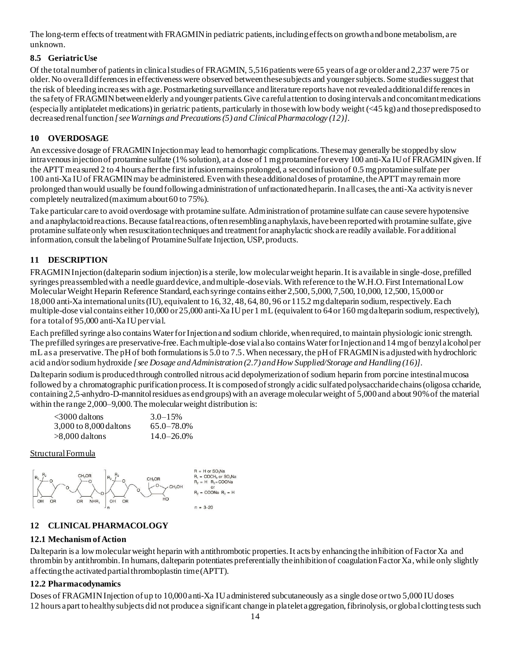The long-term effects of treatment with FRAGMIN in pediatric patients, including effects on growth and bone metabolism, are unknown.

# **8.5 Geriatric Use**

Of the total number of patients in clinical studies of FRAGMIN, 5,516patients were 65 years of age or older and 2,237 were 75 or older. No overall differences in effectiveness were observed between these subjects and younger subjects. Some studies suggest that the risk of bleeding increases with age. Postmarketing surveillance and literature reports have not revealed additional differences in the safety of FRAGMIN between elderly and younger patients. Give careful attention to dosing intervals and concomitant medications (especially antiplatelet medications) in geriatric patients, particularly in those with low body weight (<45 kg) and those predisposed to decreased renal function *[see Warnings and Precautions (5) and Clinical Pharmacology (12)]*.

# **10 OVERDOSAGE**

An excessive dosage of FRAGMIN Injection may lead to hemorrhagic complications. These may generally be stopped by slow intravenous injection of protamine sulfate (1% solution), at a dose of 1 mg protamine for every 100 anti-Xa IU of FRAGMIN given. If the APTT measured 2 to 4 hours after the first infusion remains prolonged, a second infusion of 0.5 mg protamine sulfate per 100 anti-Xa IU of FRAGMIN may be administered. Even with these additional doses of protamine, the APTT may remain more prolonged than would usually be found following administration of unfractionated heparin. In all cases, the anti-Xa activity is never completely neutralized (maximum about 60 to 75%).

Take particular care to avoid overdosage with protamine sulfate. Administration of protamine sulfate can cause severe hypotensive and anaphylactoid reactions. Because fatal reactions, often resembling anaphylaxis, have been reported with protamine sulfate, give protamine sulfate only when resuscitation techniques and treatment for anaphylactic shock are readily available. For additional information, consult the labeling of Protamine Sulfate Injection, USP, products.

# **11 DESCRIPTION**

FRAGMIN Injection (dalteparin sodium injection) is a sterile, low molecular weight heparin. It is available in single-dose, prefilled syringes preassembled with a needle guard device, and multiple-dose vials. With reference to the W.H.O. First International Low Molecular Weight Heparin Reference Standard, each syringe contains either 2,500, 5,000, 7,500, 10,000, 12,500, 15,000 or 18,000 anti-Xa international units (IU), equivalent to 16, 32, 48, 64, 80, 96 or 115.2 mg dalteparin sodium, respectively. Each multiple-dose vial contains either 10,000 or 25,000 anti-Xa IU per 1 mL (equivalent to 64 or 160 mg dalteparin sodium, respectively), for a total of 95,000 anti-Xa IU per vial.

Each prefilled syringe also contains Water for Injection and sodium chloride, when required, to maintain physiologic ionic strength. The prefilled syringes are preservative-free. Each multiple-dose vial also contains Water for Injection and 14 mg of benzyl alcohol per mL as a preservative. The pH of both formulations is 5.0 to 7.5. When necessary, the pH of FRAGMIN is adjusted with hydrochloric acid and/or sodium hydroxide *[see Dosage and Administration (2.7) and How Supplied/Storage and Handling (16)]*.

Dalteparin sodium is produced through controlled nitrous acid depolymerization of sodium heparin from porcine intestinal mucosa followed by a chromatographic purification process. It is composed of strongly acidic sulfated polysaccharide chains (oligosa ccharide, containing 2,5-anhydro-D-mannitol residues as end groups) with an average molecular weight of 5,000 and about 90% of the material within the range 2,000–9,000. The molecular weight distribution is:

| <3000 daltons          | $3.0 - 15%$     |
|------------------------|-----------------|
| 3,000 to 8,000 daltons | $65.0 - 78.0\%$ |
| >8,000 daltons         | $14.0 - 26.0\%$ |

Structural Formula



# **12 CLINICAL PHARMACOLOGY**

# **12.1 Mechanism of Action**

Dalteparin is a low molecular weight heparin with antithrombotic properties. It acts by enhancing the inhibition of Factor Xa and thrombin by antithrombin. In humans, dalteparin potentiates preferentially the inhibition of coagulation Factor Xa, while only slightly affecting the activated partial thromboplastin time (APTT).

# **12.2 Pharmacodynamics**

Doses of FRAGMIN Injection of up to 10,000 anti-Xa IU administered subcutaneously as a single dose or two 5,000 IU doses 12 hours apart to healthy subjects did not produce a significant change in platelet aggregation, fibrinolysis, or global clotting tests such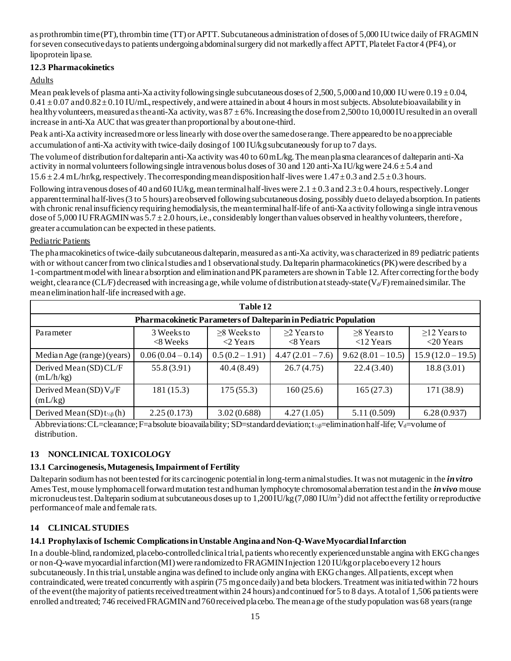as prothrombin time (PT), thrombin time (TT) or APTT. Subcutaneous administration of doses of 5,000 IU twice daily of FRAGMIN for seven consecutive days to patients undergoing abdominal surgery did not markedly affect APTT, Platelet Factor 4 (PF4), or lipoprotein lipase.

## **12.3 Pharmacokinetics**

# Adults

Mean peak levels of plasma anti-Xa activity following single subcutaneous doses of 2,500, 5,000 and 10,000 IU were 0.19  $\pm$  0.04,  $0.41 \pm 0.07$  and  $0.82 \pm 0.10$  IU/mL, respectively, and were attained in about 4 hours in most subjects. Absolute bioavailability in healthy volunteers, measured as the anti-Xa activity, was  $87 \pm 6\%$ . Increasing the dose from 2,500 to 10,000 IU resulted in an overall increase in anti-Xa AUC that was greater than proportional by about one-third.

Peak anti-Xa activity increased more or less linearly with dose over the same dose range. There appeared to be no appreciable accumulation of anti-Xa activity with twice-daily dosing of 100 IU/kg subcutaneously for up to 7 days.

The volume of distribution for dalteparin anti-Xa activity was 40 to 60 mL/kg. The mean plasma clearances of dalteparin anti-Xa activity in normal volunteers following single intravenous bolus doses of 30 and 120 anti-Xa IU/kg were 24.6  $\pm$  5.4 and  $15.6 \pm 2.4$  mL/hr/kg, respectively. The corresponding mean disposition half-lives were  $1.47 \pm 0.3$  and  $2.5 \pm 0.3$  hours.

Following intravenous doses of 40 and 60 IU/kg, mean terminal half-lives were  $2.1 \pm 0.3$  and  $2.3 \pm 0.4$  hours, respectively. Longer apparent terminal half-lives (3 to 5 hours) are observed following subcutaneous dosing, possibly due to delayed absorption. In patients with chronic renal insufficiency requiring hemodialysis, the mean terminal half-life of anti-Xa activity following a single intravenous dose of 5,000 IU FRAGMIN was  $5.7 \pm 2.0$  hours, i.e., considerably longer than values observed in healthy volunteers, therefore, greater accumulation can be expected in these patients.

## Pediatric Patients

The pharmacokinetics of twice-daily subcutaneous dalteparin, measured as anti-Xa activity, was characterized in 89 pediatric patients with or without cancer from two clinical studies and 1 observational study. Dalteparin pharmacokinetics (PK) were described by a 1-compartment model with linear absorption and elimination and PK parameters are shown in Table 12. After correcting for the body weight, clearance (CL/F) decreased with increasing age, while volume of distribution at steady-state ( $V<sub>d</sub>/F$ ) remained similar. The mean elimination half-life increased with age.

| Table 12                                 |                                                                  |                                                |                                            |                               |                                                  |
|------------------------------------------|------------------------------------------------------------------|------------------------------------------------|--------------------------------------------|-------------------------------|--------------------------------------------------|
|                                          | Pharmacokinetic Parameters of Dalteparin in Pediatric Population |                                                |                                            |                               |                                                  |
| Parameter                                | 3 Weeks to<br>$<8$ Weeks                                         | $\geq$ 8 Weeks to<br>$\langle 2 \rangle$ Years | $>2$ Years to<br>$\langle 8 \text{ Years}$ | $>8$ Years to<br>$<$ 12 Years | $\geq$ 12 Years to<br>$\langle 20 \text{ Years}$ |
| Median Age (range) (years)               | $0.06(0.04 - 0.14)$                                              | $0.5(0.2 - 1.91)$                              | $4.47(2.01 - 7.6)$                         | $9.62(8.01-10.5)$             | $15.9(12.0-19.5)$                                |
| Derived Mean (SD) CL/F<br>(mL/h/kg)      | 55.8(3.91)                                                       | 40.4(8.49)                                     | 26.7(4.75)                                 | 22.4(3.40)                    | 18.8(3.01)                                       |
| Derived Mean (SD) $V_d/F$<br>(mL/kg)     | 181(15.3)                                                        | 175(55.3)                                      | 160(25.6)                                  | 165(27.3)                     | 171(38.9)                                        |
| Derived Mean $(SD)$ $t_{\frac{1}{2}}(h)$ | 2.25(0.173)                                                      | 3.02(0.688)                                    | 4.27(1.05)                                 | 5.11 (0.509)                  | 6.28(0.937)                                      |

Abbreviations: CL=clearance; F=absolute bioavailability; SD=standard deviation; t<sub>½8</sub>=elimination half-life; V<sub>d</sub>=volume of distribution.

# **13 NONCLINICAL TOXICOLOGY**

# **13.1 Carcinogenesis, Mutagenesis, Impairment of Fertility**

Dalteparin sodium has not been tested for its carcinogenic potential in long-term animal studies. It was not mutagenic in the *in vitro* Ames Test, mouse lymphoma cell forward mutation test and human lymphocyte chromosomal aberration test and in the *in vivo* mouse micronucleus test. Dalteparin sodium at subcutaneous doses up to  $1,200$  IU/kg $(7,080$  IU/m<sup>2</sup>) did not affect the fertility or reproductive performance of male and female rats.

# **14 CLINICAL STUDIES**

# **14.1 Prophylaxis of Ischemic Complications in Unstable Angina and Non-Q-Wave Myocardial Infarction**

In a double-blind, randomized, placebo-controlled clinical trial, patients who recently experienced unstable angina with EKG changes or non-Q-wave myocardial infarction (MI) were randomized to FRAGMIN Injection 120 IU/kg or placebo every 12 hours subcutaneously. In this trial, unstable angina was defined to include only angina with EKG changes. All patients, except when contraindicated, were treated concurrently with aspirin (75 mg once daily) and beta blockers. Treatment was initiated within 72 hours of the event (the majority of patients received treatment within 24 hours) and continued for 5 to 8 days. A total of 1,506 pa tients were enrolled and treated; 746 received FRAGMIN and 760 received placebo. The mean age of the study population was 68 years (range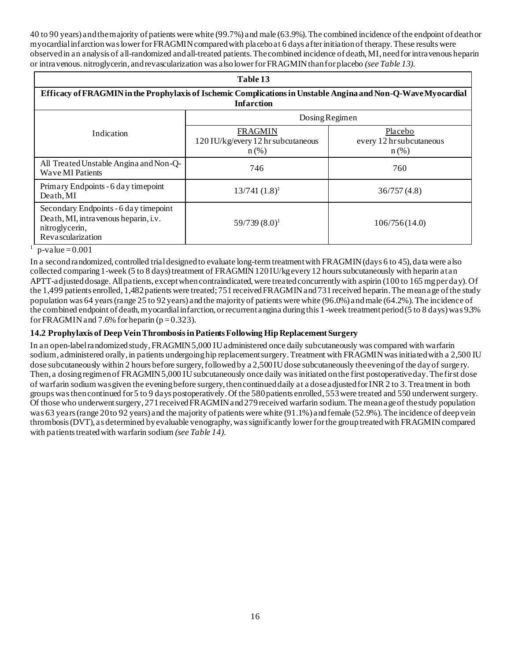40 to 90 years) and the majority of patients were white (99.7%) and male (63.9%). The combined incidence of the endpoint of death or myocardial infarction was lower for FRAGMIN compared with placebo at 6 days after initiation of therapy. These results were observed in an analysis of all-randomized and all-treated patients. The combined incidence of death, MI, need for intravenous heparin or intravenous. nitroglycerin, and revascularization was also lower for FRAGMIN than for placebo *(see Table 13)*.

| Table 13                                                                                                                           |                                                                 |                                                |  |  |
|------------------------------------------------------------------------------------------------------------------------------------|-----------------------------------------------------------------|------------------------------------------------|--|--|
| Efficacy of FRAGMIN in the Prophylaxis of Ischemic Complications in Unstable Angina and Non-Q-Wave Myocardial<br><b>Infarction</b> |                                                                 |                                                |  |  |
| Dosing Regimen                                                                                                                     |                                                                 |                                                |  |  |
| <b>Indication</b>                                                                                                                  | <b>FRAGMIN</b><br>120 IU/kg/every 12 hr subcutaneous<br>$n$ (%) | Placebo<br>every 12 hr subcutaneous<br>$n$ (%) |  |  |
| All Treated Unstable Angina and Non-Q-<br>Wave MI Patients                                                                         | 746                                                             | 760                                            |  |  |
| Primary Endpoints - 6 day timepoint<br>Death, MI                                                                                   | $13/741(1.8)^1$                                                 | 36/757(4.8)                                    |  |  |
| Secondary Endpoints - 6 day timepoint<br>Death, MI, intravenous heparin, i.v.<br>nitroglycerin,<br>Revascularization               | $59/739(8.0)^1$                                                 | 106/756(14.0)                                  |  |  |

<sup>1</sup> p-value = 0.001

In a second randomized, controlled trial designed to evaluate long-term treatment with FRAGMIN (days 6 to 45), data were also collected comparing 1-week (5 to 8 days) treatment of FRAGMIN 120 IU/kg every 12 hours subcutaneously with heparin at an APTT-adjusted dosage. All patients, except when contraindicated, were treated concurrently with aspirin (100 to 165 mg per day). Of the 1,499 patients enrolled, 1,482 patients were treated; 751 received FRAGMIN and 731 received heparin. The mean age of the study population was 64 years (range 25 to 92 years) and the majority of patients were white (96.0%) and male (64.2%). The incidence of the combined endpoint of death, myocardial infarction, or recurrent angina during this 1-week treatment period (5 to 8 days) was 9.3% for FRAGMIN and 7.6% for heparin  $(p=0.323)$ .

# **14.2 Prophylaxis of Deep Vein Thrombosis in Patients Following Hip Replacement Surgery**

In an open-label randomized study, FRAGMIN 5,000 IU administered once daily subcutaneously was compared with warfarin sodium, administered orally, in patients undergoing hip replacement surgery. Treatment with FRAGMIN was initiated with a 2,500 IU dose subcutaneously within 2 hours before surgery, followed by a 2,500 IU dose subcutaneously the evening of the day of surge ry. Then, a dosing regimen of FRAGMIN 5,000 IU subcutaneously once daily was initiated on the first postoperative day. The first dose of warfarin sodium was given the evening before surgery, then continued daily at a dose adjusted for INR 2 to 3. Treatment in both groups was then continued for 5 to 9 days postoperatively. Of the 580 patients enrolled, 553 were treated and 550 underwent surgery. Of those who underwent surgery, 271 received FRAGMIN and 279 received warfarin sodium. The mean age of the study population was 63 years (range 20 to 92 years) and the majority of patients were white (91.1%) and female (52.9%). The incidence of deep vein thrombosis (DVT), as determined by evaluable venography, was significantly lower for the group treated with FRAGMIN compared with patients treated with warfarin sodium *(see Table 14)*.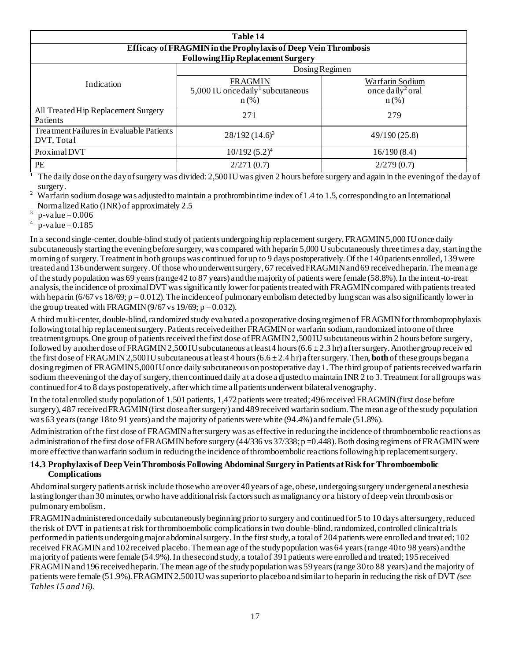| Table 14                                               |                                                                            |                                                            |  |  |  |
|--------------------------------------------------------|----------------------------------------------------------------------------|------------------------------------------------------------|--|--|--|
|                                                        | Efficacy of FRAGMIN in the Prophylaxis of Deep Vein Thrombosis             |                                                            |  |  |  |
|                                                        | <b>Following Hip Replacement Surgery</b>                                   |                                                            |  |  |  |
| Dosing Regimen                                         |                                                                            |                                                            |  |  |  |
| Indication                                             | <b>FRAGMIN</b><br>5,000 IU once daily <sup>1</sup> subcutaneous<br>$n$ (%) | Warfarin Sodium<br>once daily <sup>2</sup> oral<br>$n$ (%) |  |  |  |
| All Treated Hip Replacement Surgery<br>Patients        | 271                                                                        | 279                                                        |  |  |  |
| Treatment Failures in Evaluable Patients<br>DVT, Total | $28/192(14.6)^3$                                                           | 49/190(25.8)                                               |  |  |  |
| Proximal DVT                                           | $10/192(5.2)^4$                                                            | 16/190(8.4)                                                |  |  |  |
| PE                                                     | 2/271(0.7)                                                                 | 2/279(0.7)                                                 |  |  |  |

<sup>1</sup> The daily dose on the day of surgery was divided: 2,500 IU was given 2 hours before surgery and again in the evening of the day of surgery.

<sup>2</sup> Warfarin sodium dosage was adjusted to maintain a prothrombin time index of 1.4 to 1.5, corresponding to an International Normalized Ratio (INR) of approximately 2.5

3  $p$ -value = 0.006

 $4 p-value = 0.185$ 

In a second single-center, double-blind study of patients undergoing hip replacement surgery, FRAGMIN 5,000 IU once daily subcutaneously starting the evening before surgery, was compared with heparin 5,000 U subcutaneously three times a day, starting the morning of surgery. Treatment in both groups was continued for up to 9 days postoperatively. Of the 140 patients enrolled, 139 were treated and 136 underwent surgery. Of those who underwent surgery, 67 received FRAGMIN and 69 received heparin. The mean age of the study population was 69 years (range 42 to 87 years) and the majority of patients were female (58.8%). In the intent-to-treat analysis, the incidence of proximal DVT was significantly lower for patients treated with FRAGMIN compared with patients trea ted with heparin (6/67 vs 18/69; p = 0.012). The incidence of pulmonary embolism detected by lung scan was also significantly lower in the group treated with FRAGMIN (9/67 vs 19/69;  $p = 0.032$ ).

A third multi-center, double-blind, randomized study evaluated a postoperative dosing regimen of FRAGMIN for thromboprophylaxis following total hip replacement surgery. Patients received either FRAGMIN or warfarin sodium, randomized into one of three treatment groups. One group of patients received the first dose of FRAGMIN 2,500 IU subcutaneous within 2 hours before surgery, followed by another dose of FRAGMIN 2,500 IU subcutaneous at least 4 hours  $(6.6 \pm 2.3 \text{ hr})$  after surgery. Another group received the first dose of FRAGMIN 2,500 IU subcutaneous at least 4 hours  $(6.6 \pm 2.4 \text{ hr})$  after surgery. Then, **both** of these groups began a dosing regimen of FRAGMIN 5,000 IU once daily subcutaneous on postoperative day 1. The third group of patients received warfa rin sodium the evening of the day of surgery, then continued daily at a dose a djusted to maintain INR 2 to 3. Treatment for all groups was continued for 4 to 8 days postoperatively, after which time all patients underwent bilateral venography.

In the total enrolled study population of 1,501 patients, 1,472 patients were treated; 496 received FRAGMIN (first dose before surgery), 487 received FRAGMIN (first dose after surgery) and 489 received warfarin sodium. The mean age of the study population was 63 years (range 18 to 91 years) and the majority of patients were white (94.4%) and female (51.8%).

Administration of the first dose of FRAGMIN after surgery was as effective in reducing the incidence of thromboembolic reactions as administration of the first dose of FRAGMIN before surgery  $(44/336 \text{ vs } 37/338; p = 0.448)$ . Both dosing regimens of FRAGMIN were more effective than warfarin sodium in reducing the incidence of thromboembolic reactions following hip replacement surgery.

#### **14.3 Prophylaxis of Deep Vein Thrombosis Following Abdominal Surgery in Patients at Risk for Thromboembolic Complications**

Abdominal surgery patients at risk include those who are over 40 years of age, obese, undergoing surgery under general anesthesia lasting longer than 30 minutes, or who have additional risk factors such as malignancy or a history of deep vein thromb osis or pulmonary embolism.

FRAGMIN administered once daily subcutaneously beginning prior to surgery and continued for 5 to 10 days after surgery, reduced the risk of DVT in patients at risk for thromboembolic complications in two double-blind, randomized, controlled clinical trials performed in patients undergoing major abdominal surgery. In the first study, a total of 204 patients were enrolled and treat ed; 102 received FRAGMIN and 102 received placebo. The mean age of the study population was 64 years (range 40 to 98 years) and the majority of patients were female (54.9%). In the second study, a total of 391 patients were enrolled and treated; 195 received FRAGMIN and 196 received heparin. The mean age of the study population was 59 years (range 30 to 88 years) and the majority of patients were female (51.9%). FRAGMIN 2,500 IU was superior to placebo and similar to heparin in reducing the risk of DVT *(see Tables 15 and 16)*.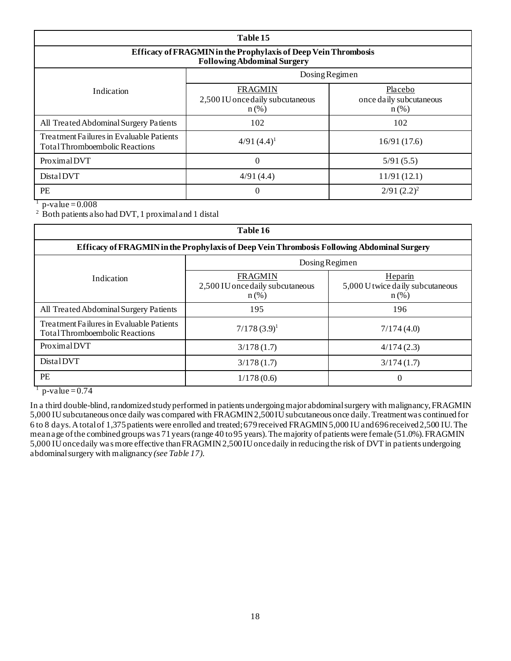| Table 15                                                                                             |                                                               |                                               |  |  |
|------------------------------------------------------------------------------------------------------|---------------------------------------------------------------|-----------------------------------------------|--|--|
| Efficacy of FRAGMIN in the Prophylaxis of Deep Vein Thrombosis<br><b>Following Abdominal Surgery</b> |                                                               |                                               |  |  |
| Dosing Regimen                                                                                       |                                                               |                                               |  |  |
| Indication                                                                                           | <b>FRAGMIN</b><br>2,500 IU once daily subcutaneous<br>$n$ (%) | Placebo<br>once daily subcutaneous<br>$n$ (%) |  |  |
| All Treated Abdominal Surgery Patients                                                               | 102                                                           | 102                                           |  |  |
| Treatment Failures in Evaluable Patients<br><b>Total Thromboembolic Reactions</b>                    | $4/91(4.4)^1$                                                 | 16/91(17.6)                                   |  |  |
| Proximal DVT                                                                                         | $\overline{0}$                                                | 5/91(5.5)                                     |  |  |
| DistalDVT                                                                                            | 4/91(4.4)                                                     | 11/91(12.1)                                   |  |  |
| <b>PE</b>                                                                                            | 0                                                             | $2/91 (2.2)^2$                                |  |  |

 $1$  p-value = 0.008

<sup>2</sup> Both patients also had DVT, 1 proximal and 1 distal

| Table 16                                                                          |                                                                                            |                                                        |  |  |
|-----------------------------------------------------------------------------------|--------------------------------------------------------------------------------------------|--------------------------------------------------------|--|--|
|                                                                                   | Efficacy of FRAGMIN in the Prophylaxis of Deep Vein Thrombosis Following Abdominal Surgery |                                                        |  |  |
| Dosing Regimen                                                                    |                                                                                            |                                                        |  |  |
| Indication                                                                        | FRAGMIN<br>2,500 IU once daily subcutaneous<br>$n$ (%)                                     | Heparin<br>5,000 U twice daily subcutaneous<br>$n$ (%) |  |  |
| All Treated Abdominal Surgery Patients                                            | 195                                                                                        | 196                                                    |  |  |
| Treatment Failures in Evaluable Patients<br><b>Total Thromboembolic Reactions</b> | $7/178(3.9)^1$                                                                             | 7/174(4.0)                                             |  |  |
| Proximal DVT                                                                      | 3/178(1.7)                                                                                 | 4/174(2.3)                                             |  |  |
| DistalDVT                                                                         | 3/178(1.7)                                                                                 | 3/174(1.7)                                             |  |  |
| <b>PE</b>                                                                         | 1/178(0.6)                                                                                 | $\Omega$                                               |  |  |

 $1$  p-value = 0.74

In a third double-blind, randomized study performed in patients undergoing major abdominal surgery with malignancy, FRAGMIN 5,000 IU subcutaneous once daily was compared with FRAGMIN 2,500 IU subcutaneous once daily. Treatment was continued for 6 to 8 days. A total of 1,375 patients were enrolled and treated; 679 received FRAGMIN 5,000 IU and 696 received 2,500 IU. The mean age of the combined groups was 71 years (range 40 to 95 years). The majority of patients were female (51.0%). FRAGMIN 5,000 IU once daily wa s more effective than FRAGMIN 2,500 IU once daily in reducing the risk of DVT in patients undergoing abdominal surgery with malignancy *(see Table 17)*.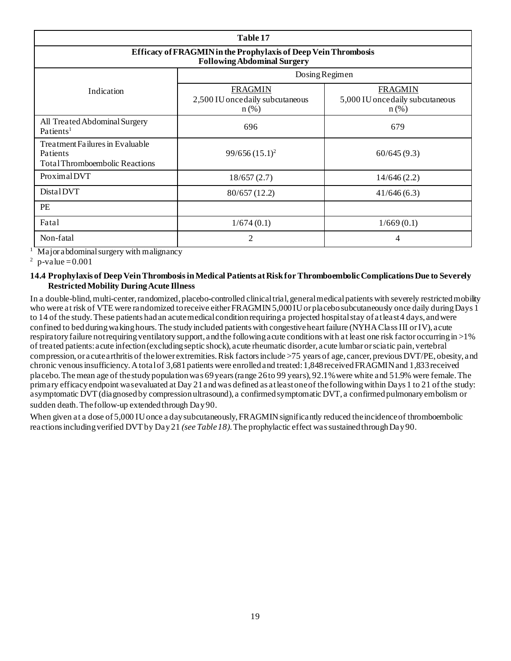| Table 17                                                                                             |                                                               |                                                               |  |  |
|------------------------------------------------------------------------------------------------------|---------------------------------------------------------------|---------------------------------------------------------------|--|--|
| Efficacy of FRAGMIN in the Prophylaxis of Deep Vein Thrombosis<br><b>Following Abdominal Surgery</b> |                                                               |                                                               |  |  |
|                                                                                                      | Dosing Regimen                                                |                                                               |  |  |
| Indication                                                                                           | <b>FRAGMIN</b><br>2,500 IU once daily subcutaneous<br>$n$ (%) | <b>FRAGMIN</b><br>5,000 IU once daily subcutaneous<br>$n$ (%) |  |  |
| All Treated Abdominal Surgery<br>Patients <sup>1</sup>                                               | 696                                                           | 679                                                           |  |  |
| Treatment Failures in Evaluable<br>Patients<br><b>Total Thromboembolic Reactions</b>                 | $99/656(15.1)^2$                                              | 60/645(9.3)                                                   |  |  |
| Proximal DVT                                                                                         | 18/657(2.7)                                                   | 14/646(2.2)                                                   |  |  |
| DistalDVT                                                                                            | 80/657 (12.2)                                                 | 41/646(6.3)                                                   |  |  |
| PE                                                                                                   |                                                               |                                                               |  |  |
| Fatal                                                                                                | 1/674(0.1)                                                    | 1/669(0.1)                                                    |  |  |
| Non-fatal                                                                                            | $\overline{c}$                                                | 4                                                             |  |  |

<sup>1</sup> Major abdominal surgery with malignancy

2  $p$ -value = 0.001

#### **14.4 Prophylaxis of Deep Vein Thrombosis in Medical Patients at Risk for Thromboembolic Complications Due to Severely Restricted Mobility During Acute Illness**

In a double-blind, multi-center, randomized, placebo-controlled clinical trial, general medical patients with severely restricted mobility who were at risk of VTE were randomized to receive either FRAGMIN 5,000 IU or placebo subcutaneously once daily during Days 1 to 14 of the study. These patients had an acute medical condition requiring a projected hospital stay of at least 4 days, and were confined to bed during waking hours. The study included patients with congestive heart failure (NYHA Class III or IV), acute respiratory failure not requiring ventilatory support, and the following acute conditions with at least one risk factor occurring in >1% of treated patients: acute infection (excluding septic shock), acute rheumatic disorder, acute lumbar or sciatic pain, vertebral compression, or acute arthritis of the lower extremities. Risk factors include >75 years of age, cancer, previous DVT/PE, obesity, and chronic venous insufficiency. A total of 3,681 patients were enrolled and treated: 1,848 received FRAGMIN and 1,833 received placebo. The mean age of the study population was 69 years (range 26 to 99 years), 92.1% were white and 51.9% were female. The primary efficacy endpoint was evaluated at Day 21 and was defined as at least one of the following within Days 1 to 21 of the study: asymptomatic DVT (diagnosed by compression ultrasound), a confirmed symptomatic DVT, a confirmed pulmonary embolism or sudden death. The follow-up extended through Day 90.

When given at a dose of 5,000 IU once a day subcutaneously, FRAGMIN significantly reduced the incidence of thromboembolic reactions including verified DVT by Day 21 *(see Table 18)*. The prophylactic effect was sustained through Day 90.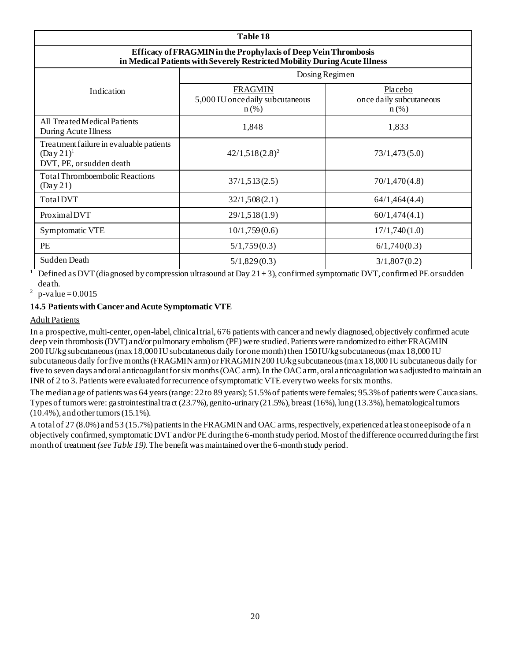| Table 18                                                                                                                                     |                                                               |                                               |  |  |
|----------------------------------------------------------------------------------------------------------------------------------------------|---------------------------------------------------------------|-----------------------------------------------|--|--|
| Efficacy of FRAGMIN in the Prophylaxis of Deep Vein Thrombosis<br>in Medical Patients with Severely Restricted Mobility During Acute Illness |                                                               |                                               |  |  |
| Dosing Regimen                                                                                                                               |                                                               |                                               |  |  |
| Indication                                                                                                                                   | <b>FRAGMIN</b><br>5,000 IU once daily subcutaneous<br>$n$ (%) | Placebo<br>once daily subcutaneous<br>$n$ (%) |  |  |
| All Treated Medical Patients<br>During Acute Illness                                                                                         | 1,848                                                         | 1,833                                         |  |  |
| Treatment failure in evaluable patients<br>$(Day 21)^1$<br>DVT, PE, or sudden death                                                          | $42/1,518(2.8)^2$                                             | 73/1,473(5.0)                                 |  |  |
| <b>Total Thromboembolic Reactions</b><br>(Day 21)                                                                                            | 37/1,513(2.5)                                                 | 70/1,470(4.8)                                 |  |  |
| TotalDVT                                                                                                                                     | 32/1,508(2.1)                                                 | 64/1,464(4.4)                                 |  |  |
| Proximal DVT                                                                                                                                 | 29/1,518(1.9)                                                 | 60/1,474(4.1)                                 |  |  |
| Symptomatic VTE                                                                                                                              | 10/1,759(0.6)                                                 | 17/1,740(1.0)                                 |  |  |
| <b>PE</b>                                                                                                                                    | 5/1,759(0.3)                                                  | 6/1,740(0.3)                                  |  |  |
| Sudden Death                                                                                                                                 | 5/1,829(0.3)                                                  | 3/1,807(0.2)                                  |  |  |

<sup>1</sup> Defined as DVT (diagnosed by compression ultrasound at Day 21+3), confirmed symptomatic DVT, confirmed PE or sudden death.

<sup>2</sup> p-value = 0.0015

#### **14.5 Patients with Cancer and Acute Symptomatic VTE**

#### Adult Patients

In a prospective, multi-center, open-label, clinical trial, 676 patients with cancer and newly diagnosed, objectively confirmed acute deep vein thrombosis (DVT) and/or pulmonary embolism (PE) were studied. Patients were randomized to either FRAGMIN 200 IU/kg subcutaneous (max 18,000 IU subcutaneous daily for one month) then 150 IU/kg subcutaneous (max 18,000 IU subcutaneous daily for five months (FRAGMIN arm) or FRAGMIN 200 IU/kg subcutaneous (max 18,000 IU subcutaneous daily for five to seven days and oral anticoagulant for six months (OAC arm). In the OAC arm, oral anticoagulation was adjusted to maintain an INR of 2 to 3. Patients were evaluated for recurrence of symptomatic VTE every two weeks for six months.

The median age of patients was 64 years (range: 22 to 89 years); 51.5% of patients were females; 95.3% of patients were Cauca sians. Types of tumors were: gastrointestinal tract (23.7%), genito-urinary (21.5%), breast (16%), lung (13.3%), hematological tumors (10.4%), and other tumors (15.1%).

A total of 27 (8.0%) and 53 (15.7%) patients in the FRAGMIN and OAC arms, respectively, experienced at least one episode of a n objectively confirmed, symptomatic DVT and/or PE during the 6-month study period. Most of the difference occurred during the first month of treatment *(see Table 19)*. The benefit was maintained over the 6-month study period.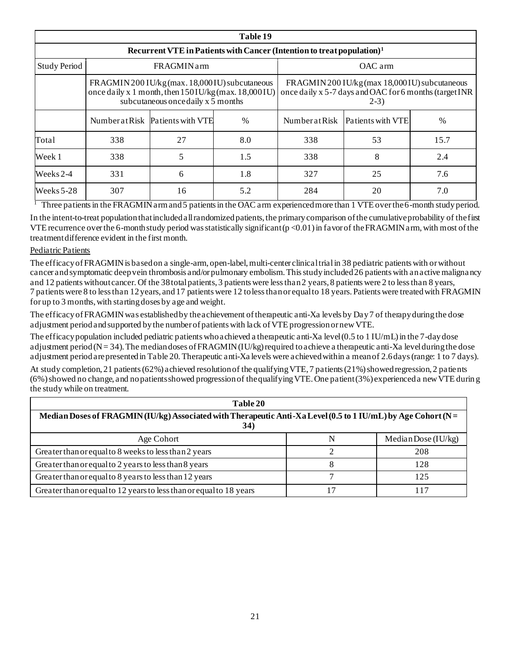| Table 19            |                                                                                    |                                                                                                                                                  |      |                                                                                                                    |                                  |      |  |
|---------------------|------------------------------------------------------------------------------------|--------------------------------------------------------------------------------------------------------------------------------------------------|------|--------------------------------------------------------------------------------------------------------------------|----------------------------------|------|--|
|                     | Recurrent VTE in Patients with Cancer (Intention to treat population) <sup>1</sup> |                                                                                                                                                  |      |                                                                                                                    |                                  |      |  |
| <b>Study Period</b> | <b>FRAGMINarm</b><br>OAC arm                                                       |                                                                                                                                                  |      |                                                                                                                    |                                  |      |  |
|                     |                                                                                    | FRAGMIN 200 IU/kg (max. 18,000 IU) subcutaneous<br>once daily x 1 month, then $150$ IU/kg (max. 18,000 IU)<br>subcutaneous once daily x 5 months |      | FRAGMIN 200 IU/kg (max 18,000 IU) subcutaneous<br>once daily x 5-7 days and OAC for 6 months (target INR<br>$2-3)$ |                                  |      |  |
|                     |                                                                                    | Number at Risk Patients with VTE                                                                                                                 | $\%$ |                                                                                                                    | Number at Risk Patients with VTE | $\%$ |  |
| Total               | 338                                                                                | 27                                                                                                                                               | 8.0  | 338                                                                                                                | 53                               | 15.7 |  |
| Week 1              | 338                                                                                | 5                                                                                                                                                | 1.5  | 338                                                                                                                | 8                                | 2.4  |  |
| Weeks 2-4           | 331                                                                                | 6                                                                                                                                                | 1.8  | 327                                                                                                                | 25                               | 7.6  |  |
| Weeks $5-28$        | 307                                                                                | 16                                                                                                                                               | 5.2  | 284                                                                                                                | 20                               | 7.0  |  |

<sup>1</sup> Three patients in the FRAGMIN arm and 5 patients in the OAC arm experienced more than 1 VTE over the 6-month study period. In the intent-to-treat population that included all randomized patients, the primary comparison of the cumulative probability of the first VTE recurrence over the 6-month study period was statistically significant  $(p<0.01)$  in favor of the FRAGMIN arm, with most of the treatment difference evident in the first month.

#### Pediatric Patients

The efficacy of FRAGMIN is based on a single-arm, open-label, multi-center clinical trialin 38 pediatric patients with or without cancer and symptomatic deep vein thrombosis and/or pulmonary embolism. This study included 26 patients with an active malignancy and 12 patients without cancer. Of the 38 total patients, 3 patients were less than 2 years, 8 patients were 2 to less than 8 years, 7 patients were 8 to less than 12 years, and 17 patients were 12 to less than or equal to 18 years. Patients were treated with FRAGMIN for up to 3 months, with starting doses by age and weight.

The efficacy of FRAGMIN was established by the achievement of therapeutic anti-Xa levels by Day 7 of therapy during the dose adjustment period and supported by the number of patients with lack of VTE progression or new VTE.

The efficacy population included pediatric patients who achieved a therapeutic anti-Xa level (0.5 to 1 IU/mL) in the 7-day dose adjustment period ( $N = 34$ ). The median doses of FRAGMIN (IU/kg) required to achieve a therapeutic anti-Xa level during the dose adjustment period are presented in Table 20. Therapeutic anti-Xa levels were achieved within a mean of 2.6 days (range: 1 to 7 days).

At study completion, 21 patients (62%) achieved resolution of the qualifying VTE, 7 patients (21%) showed regression, 2 patients (6%) showed no change, and no patients showed progression of the qualifying VTE. One patient (3%) experienced a new VTE durin g the study while on treatment.

| Table 20                                                                                                                     |  |                       |  |  |
|------------------------------------------------------------------------------------------------------------------------------|--|-----------------------|--|--|
| Median Doses of FRAGMIN (IU/kg) Associated with Therapeutic Anti-Xa Level (0.5 to 1 IU/mL) by Age Cohort (N =<br><b>34</b> ) |  |                       |  |  |
| Age Cohort                                                                                                                   |  | Median Dose $(IU/kg)$ |  |  |
| Greater than or equal to 8 weeks to less than 2 years                                                                        |  | 208                   |  |  |
| Greater than or equal to 2 years to less than 8 years                                                                        |  | 128                   |  |  |
| Greater than or equal to 8 years to less than 12 years                                                                       |  | 125                   |  |  |
| Greater than or equal to 12 years to less than or equal to 18 years                                                          |  |                       |  |  |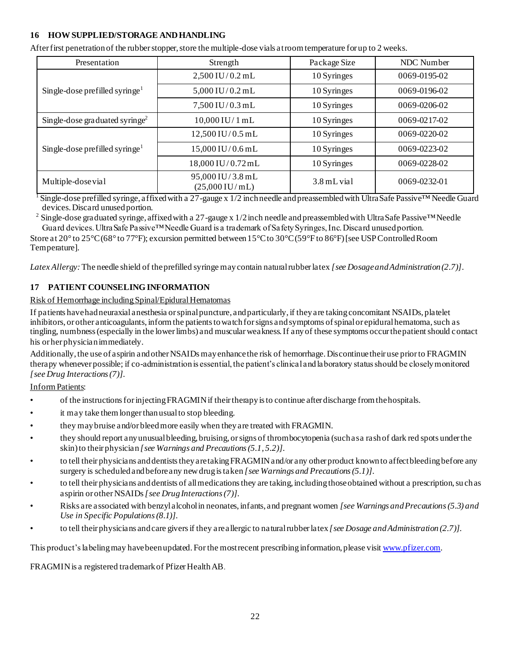#### **16 HOW SUPPLIED/STORAGE AND HANDLING**

|  | After first penetration of the rubber stopper, store the multiple-dose vials at room temperature for up to 2 weeks. |
|--|---------------------------------------------------------------------------------------------------------------------|
|  |                                                                                                                     |

| Presentation                               | Strength                                     | Package Size | NDC Number         |
|--------------------------------------------|----------------------------------------------|--------------|--------------------|
| Single-dose prefilled syringe <sup>1</sup> | $2,500$ IU/0.2 mL                            | 10 Syringes  | 0069-0195-02       |
|                                            | $5,000$ IU/0.2 mL                            | 10 Syringes  | 0069-0196-02       |
|                                            | $7,500$ IU/0.3 mL                            | 10 Syringes  | $0069 - 0206 - 02$ |
| Single-dose graduated syringe <sup>2</sup> | $10,000$ IU/1 mL                             | 10 Syringes  | $0069 - 0217 - 02$ |
| Single-dose prefilled syringe <sup>1</sup> | 12,500 IU/0.5 mL                             | 10 Syringes  | $0069 - 0220 - 02$ |
|                                            | 15,000 IU/0.6 mL                             | 10 Syringes  | $0069 - 0223 - 02$ |
|                                            | 18,000 IU/0.72 mL                            | 10 Syringes  | 0069-0228-02       |
| Multiple-dose vial                         | 95,000 IU/3.8 mL<br>$(25,000 \text{ IU/mL})$ | 3.8 mL vial  | 0069-0232-01       |

 $1$  Single-dose prefilled syringe, affixed with a 27-gauge x 1/2 inch needle and preassembled with UltraSafe Passive<sup>TM</sup> Needle Guard devices. Discard unused portion.

<sup>2</sup> Single-dose graduated syringe, affixed with a 27-gauge x 1/2 inch needle and preassembled with UltraSafe Passive<sup>™</sup>Needle Guard devices. UltraSafe Passive™ Needle Guard is a trademark of Safety Syringes, Inc. Discard unused portion.

Store at 20° to 25°C (68° to 77°F); excursion permitted between 15°C to 30°C (59°F to 86°F) [see USP Controlled Room Temperature].

*Latex Allergy:*The needle shield of the prefilled syringe may contain natural rubber latex *[see Dosage and Administration (2.7)]*.

# **17 PATIENT COUNSELING INFORMATION**

#### Risk of Hemorrhage including Spinal/Epidural Hematomas

If patients have had neuraxial anesthesia or spinal puncture, and particularly, if they are taking concomitant NSAIDs, platelet inhibitors, or other anticoagulants, inform the patients to watch for signs and symptoms of spinal or epidural hematoma, such as tingling, numbness (especially in the lower limbs) and muscular weakness. If any of these symptoms occur the patient should contact his or her physician immediately.

Additionally, the use of aspirin and other NSAIDs may enhance the risk of hemorrhage. Discontinue their use prior to FRAGMIN therapy whenever possible; if co-administration is essential, the patient's clinical and laboratory status should be closely monitored *[see Drug Interactions (7)]*.

#### Inform Patients:

- of the instructions for injecting FRAGMIN if their therapy is to continue after discharge from the hospitals.
- it may take them longer than usual to stop bleeding.
- they may bruise and/or bleed more easily when they are treated with FRAGMIN.
- they should report any unusual bleeding, bruising, or signs of thrombocytopenia (such as a rash of dark red spots under the skin) to their physician *[see Warnings and Precautions (5.1, 5.2)]*.
- to tell their physicians and dentists they are taking FRAGMIN and/or any other product known to affect bleeding before any surgery is scheduled and before any new drug is taken *[see Warnings and Precautions (5.1)]*.
- to tell their physicians and dentists of all medications they are taking, including those obtained without a prescription, su ch as aspirin or other NSAIDs *[see Drug Interactions (7)]*.
- Risks are associated with benzyl alcohol in neonates, infants, and pregnant women *[see Warnings and Precautions (5.3) and Use in Specific Populations (8.1)]*.
- to tell their physicians and care givers if they are allergic to natural rubberlatex *[see Dosage and Administration (2.7)].*

This product's labeling may have been updated. For the most recent prescribing information, please visi[t www.pfizer.com](http://www.pfizer.com/).

FRAGMIN is a registered trademark of Pfizer Health AB.